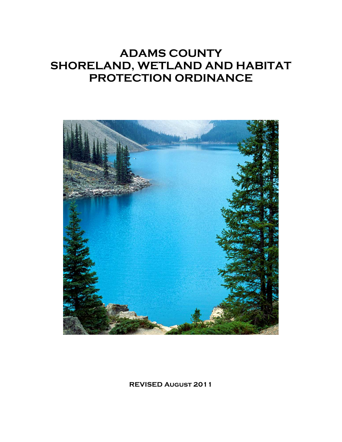# **ADAMS COUNTY SHORELAND, WETLAND AND HABITAT PROTECTION ORDINANCE**



**REVISED August 2011**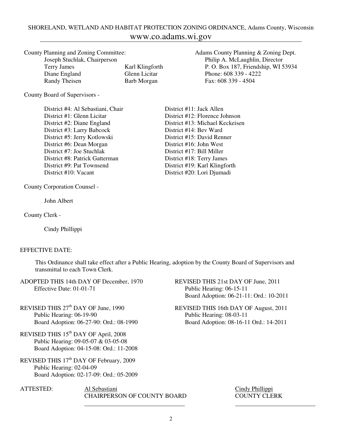# SHORELAND, WETLAND AND HABITAT PROTECTION ZONING ORDINANCE, Adams County, Wisconsin www.co.adams.wi.gov

| County Planning and Zoning Committee: |    |
|---------------------------------------|----|
| Joseph Stuchlak, Chairperson          |    |
| Terry James                           | K٤ |
| Diane England                         | G1 |

County Board of Supervisors -

District #4: Al Sebastiani, Chair District #11: Jack Allen District #1: Glenn Licitar District #12: Florence Johnson District #2: Diane England District #13: Michael Keckeisen<br>District #3: Larry Babcock District #14: Bev Ward District #3: Larry Babcock District #5: Jerry Kotlowski District #15: David Renner District #6: Dean Morgan District #16: John West District #7: Joe Stuchlak District #17: Bill Miller District #8: Patrick Gatterman District #18: Terry James District #9: Pat Townsend District #19: Karl Klingforth District #10: Vacant District #20: Lori Djumadi

County Corporation Counsel -

John Albert

County Clerk -

Cindy Phillippi

#### EFFECTIVE DATE:

This Ordinance shall take effect after a Public Hearing, adoption by the County Board of Supervisors and transmittal to each Town Clerk.

- ADOPTED THIS 14th DAY OF December, 1970 REVISED THIS 21st DAY OF June, 2011 Effective Date: 01-01-71 Public Hearing: 06-15-11
- REVISED THIS 27<sup>th</sup> DAY OF June, 1990<br>
Public Hearing: 06-19-90<br>
Public Hearing: 08-03-11
- REVISED THIS  $15^{\rm th}$  DAY OF April,  $2008$  Public Hearing: 09-05-07 & 03-05-08 Board Adoption: 04-15-08: Ord.: 11-2008
- REVISED THIS 17<sup>th</sup> DAY OF February, 2009 Public Hearing: 02-04-09 Board Adoption: 02-17-09: Ord.: 05-2009
- ATTESTED: Al Sebastiani Cindy Phillippi CHAIRPERSON OF COUNTY BOARD COUNTY CLERK

Adams County Planning & Zoning Dept. Philip A. McLaughlin, Director arl Klingforth P. O. Box 187, Friendship, WI 53934 Diane England Glenn Licitar Phone: 608 339 - 4222<br>
Randy Theisen Barb Morgan Fax: 608 339 - 4504 Barb Morgan Fax: 608 339 - 4504

- Board Adoption: 06-21-11: Ord.: 10-2011
- Public Hearing: 08-03-11 Board Adoption: 06-27-90: Ord.: 08-1990 Board Adoption: 08-16-11 Ord.: 14-2011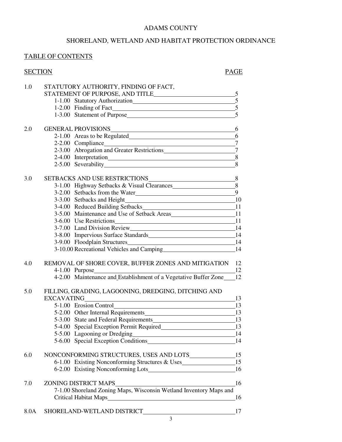# ADAMS COUNTY

# SHORELAND, WETLAND AND HABITAT PROTECTION ORDINANCE

# TABLE OF CONTENTS

| <b>SECTION</b> | <b>PAGE</b>                                                                                                                                                                                                                         |
|----------------|-------------------------------------------------------------------------------------------------------------------------------------------------------------------------------------------------------------------------------------|
| 1.0            | STATUTORY AUTHORITY, FINDING OF FACT,                                                                                                                                                                                               |
|                |                                                                                                                                                                                                                                     |
|                | 1-1.00 Statutory Authorization 5                                                                                                                                                                                                    |
|                | 1-2.00 Finding of Fact 5                                                                                                                                                                                                            |
|                |                                                                                                                                                                                                                                     |
| 2.0            |                                                                                                                                                                                                                                     |
|                | GENERAL PROVISIONS <sub>6</sub><br>2-1.00 Areas to be Regulated<br>6                                                                                                                                                                |
|                |                                                                                                                                                                                                                                     |
|                | 2-2.00 Compliance 7<br>2-3.00 Abrogation and Greater Restrictions 7                                                                                                                                                                 |
|                | 2-4.00 Interpretation<br>8                                                                                                                                                                                                          |
|                | 8<br>2-5.00 Severability 2012 and 2013 and 2014 and 2014 and 2014 and 2014 and 2014 and 2014 and 2014 and 2014 and 2014 and 2014 and 2014 and 2014 and 2014 and 2014 and 2014 and 2014 and 2014 and 2014 and 2014 and 2014 and 2014 |
|                |                                                                                                                                                                                                                                     |
| 3.0            |                                                                                                                                                                                                                                     |
|                | 3-1.00 Highway Setbacks & Visual Clearances 8                                                                                                                                                                                       |
|                | 3-2.00 Setbacks from the Water 9                                                                                                                                                                                                    |
|                |                                                                                                                                                                                                                                     |
|                |                                                                                                                                                                                                                                     |
|                | 3-5.00 Maintenance and Use of Setback Areas 11                                                                                                                                                                                      |
|                | 3-6.00 Use Restrictions 11                                                                                                                                                                                                          |
|                |                                                                                                                                                                                                                                     |
|                | 3-8.00 Impervious Surface Standards<br>14                                                                                                                                                                                           |
|                | 3-9.00 Floodplain Structures 14<br>3-10.00 Recreational Vehicles and Camping 14                                                                                                                                                     |
|                |                                                                                                                                                                                                                                     |
| 4.0            | REMOVAL OF SHORE COVER, BUFFER ZONES AND MITIGATION 12                                                                                                                                                                              |
|                |                                                                                                                                                                                                                                     |
|                |                                                                                                                                                                                                                                     |
| 5.0            | FILLING, GRADING, LAGOONING, DREDGING, DITCHING AND                                                                                                                                                                                 |
|                | <b>EXCAVATING</b><br>13                                                                                                                                                                                                             |
|                | 5-1.00 Erosion Control<br>13                                                                                                                                                                                                        |
|                | 5-2.00 Other Internal Requirements 13                                                                                                                                                                                               |
|                | 5-3.00 State and Federal Requirements 13                                                                                                                                                                                            |
|                |                                                                                                                                                                                                                                     |
|                |                                                                                                                                                                                                                                     |
|                | 5-5.00 Lagooning or Dredging 14<br>5-6.00 Special Exception Conditions 14                                                                                                                                                           |
| 6.0            |                                                                                                                                                                                                                                     |
|                | 6-1.00 Existing Nonconforming Structures & Uses__________________________________15                                                                                                                                                 |
|                |                                                                                                                                                                                                                                     |
|                | ZONING DISTRICT MAPS                                                                                                                                                                                                                |
| 7.0            | 16<br>7-1.00 Shoreland Zoning Maps, Wisconsin Wetland Inventory Maps and                                                                                                                                                            |
|                |                                                                                                                                                                                                                                     |
|                |                                                                                                                                                                                                                                     |
| 8.0A           | 17                                                                                                                                                                                                                                  |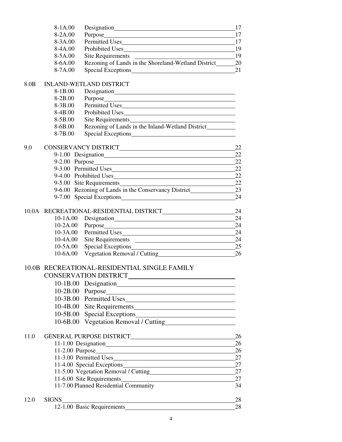|                  | 8-1A.00                       |                                                                                  | -17            |  |  |
|------------------|-------------------------------|----------------------------------------------------------------------------------|----------------|--|--|
|                  | 8-2A.00                       |                                                                                  | 17             |  |  |
|                  | 8-3A.00                       |                                                                                  | - 17           |  |  |
|                  | 8-4A.00                       | Prohibited Uses 19                                                               |                |  |  |
|                  | 8-5A.00                       | Site Requirements                                                                | $\frac{19}{2}$ |  |  |
|                  | 8-6A.00                       |                                                                                  |                |  |  |
|                  | 8-7A.00                       |                                                                                  | 21             |  |  |
| 8.0 <sub>B</sub> |                               | <b>INLAND-WETLAND DISTRICT</b>                                                   |                |  |  |
|                  | 8-1B.00                       |                                                                                  |                |  |  |
|                  | 8-2B.00                       |                                                                                  |                |  |  |
|                  | 8-3B.00                       |                                                                                  |                |  |  |
|                  | 8-4B.00                       |                                                                                  |                |  |  |
|                  | 8-5B.00                       | Site Requirements                                                                |                |  |  |
|                  | 8-6B.00                       | Rezoning of Lands in the Inland-Wetland District__________                       |                |  |  |
|                  | 8-7B.00                       |                                                                                  |                |  |  |
| 9.0              |                               |                                                                                  |                |  |  |
|                  |                               |                                                                                  | 22             |  |  |
|                  |                               |                                                                                  | 22             |  |  |
|                  |                               | 9-3.00 Permitted Uses                                                            | 22             |  |  |
|                  |                               | 9-4.00 Prohibited Uses                                                           | 22             |  |  |
|                  |                               | 9-5.00 Site Requirements                                                         | 22             |  |  |
|                  |                               | 9-6.00 Rezoning of Lands in the Conservancy District____________________________ | 23             |  |  |
|                  |                               | 9-7.00 Special Exceptions <b>Secure 2018</b>                                     | 24             |  |  |
|                  |                               | 10.0A RECREATIONAL-RESIDENTIAL DISTRICT                                          | 24             |  |  |
|                  | $10-1A.00$                    |                                                                                  | 24             |  |  |
|                  | $10-2A.00$                    | Purpose                                                                          | 24             |  |  |
|                  | $10-3A.00$                    |                                                                                  | 24             |  |  |
|                  | $10-4A.00$                    | Site Requirements                                                                | 24             |  |  |
|                  | $10-5A.00$                    | Special Exceptions 25                                                            |                |  |  |
|                  | 10-6A.00                      |                                                                                  |                |  |  |
|                  |                               | 10.0B RECREATIONAL-RESIDENTIAL SINGLE FAMILY                                     |                |  |  |
|                  |                               |                                                                                  |                |  |  |
|                  |                               | 10-1B.00 Designation                                                             |                |  |  |
|                  |                               |                                                                                  |                |  |  |
|                  |                               | 10-3B.00 Permitted Uses                                                          |                |  |  |
|                  |                               | 10-4B.00 Site Requirements                                                       |                |  |  |
|                  | $10-5B.00$                    |                                                                                  |                |  |  |
|                  | $10 - 6B.00$                  |                                                                                  |                |  |  |
| 11.0             |                               |                                                                                  |                |  |  |
|                  |                               |                                                                                  | 26             |  |  |
|                  |                               |                                                                                  |                |  |  |
|                  | 11-3.00 Permitted Uses 27     |                                                                                  |                |  |  |
|                  | 11-4.00 Special Exceptions 27 |                                                                                  |                |  |  |
|                  |                               | 11-5.00 Vegetation Removal / Cutting 27                                          |                |  |  |
|                  |                               | 11-6.00 Site Requirements 27                                                     |                |  |  |
|                  |                               | 11-7.00 Planned Residential Community                                            | 34             |  |  |
| 12.0             | <b>SIGNS</b>                  | <u> 1989 - Johann Stoff, Amerikaansk politiker (</u>                             | 28             |  |  |
|                  |                               | 12-1.00 Basic Requirements                                                       | 28             |  |  |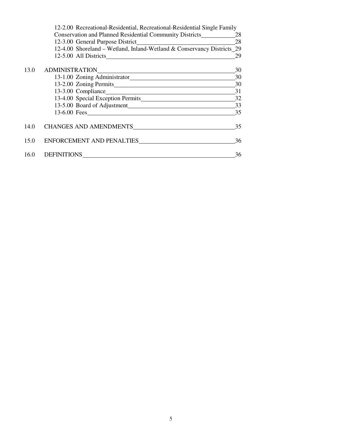|      | 12-2.00 Recreational-Residential, Recreational-Residential Single Family |    |
|------|--------------------------------------------------------------------------|----|
|      | <b>Conservation and Planned Residential Community Districts</b> 28       |    |
|      |                                                                          |    |
|      | 12-4.00 Shoreland – Wetland, Inland-Wetland & Conservancy Districts 29   |    |
|      | 12-5.00 All Districts                                                    | 29 |
| 13.0 |                                                                          | 30 |
|      |                                                                          |    |
|      |                                                                          |    |
|      | 13-3.00 Compliance 31                                                    |    |
|      | 13-4.00 Special Exception Permits 32                                     |    |
|      |                                                                          |    |
|      |                                                                          | 35 |
|      | 14.0 CHANGES AND AMENDMENTS                                              | 35 |
|      |                                                                          | 36 |
|      | 16.0 DEFINITIONS                                                         | 36 |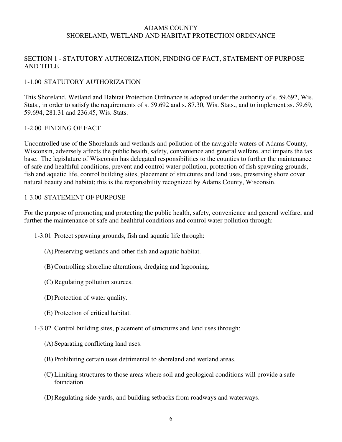#### ADAMS COUNTY SHORELAND, WETLAND AND HABITAT PROTECTION ORDINANCE

# SECTION 1 - STATUTORY AUTHORIZATION, FINDING OF FACT, STATEMENT OF PURPOSE AND TITLE

# 1-1.00 STATUTORY AUTHORIZATION

This Shoreland, Wetland and Habitat Protection Ordinance is adopted under the authority of s. 59.692, Wis. Stats., in order to satisfy the requirements of s. 59.692 and s. 87.30, Wis. Stats., and to implement ss. 59.69, 59.694, 281.31 and 236.45, Wis. Stats.

## 1-2.00 FINDING OF FACT

Uncontrolled use of the Shorelands and wetlands and pollution of the navigable waters of Adams County, Wisconsin, adversely affects the public health, safety, convenience and general welfare, and impairs the tax base. The legislature of Wisconsin has delegated responsibilities to the counties to further the maintenance of safe and healthful conditions, prevent and control water pollution, protection of fish spawning grounds, fish and aquatic life, control building sites, placement of structures and land uses, preserving shore cover natural beauty and habitat; this is the responsibility recognized by Adams County, Wisconsin.

## 1-3.00 STATEMENT OF PURPOSE

For the purpose of promoting and protecting the public health, safety, convenience and general welfare, and further the maintenance of safe and healthful conditions and control water pollution through:

- 1-3.01 Protect spawning grounds, fish and aquatic life through:
	- (A) Preserving wetlands and other fish and aquatic habitat.
	- (B) Controlling shoreline alterations, dredging and lagooning.
	- (C) Regulating pollution sources.
	- (D) Protection of water quality.
	- (E) Protection of critical habitat.
- 1-3.02 Control building sites, placement of structures and land uses through:
	- (A) Separating conflicting land uses.
	- (B) Prohibiting certain uses detrimental to shoreland and wetland areas.
	- (C) Limiting structures to those areas where soil and geological conditions will provide a safe foundation.
	- (D) Regulating side-yards, and building setbacks from roadways and waterways.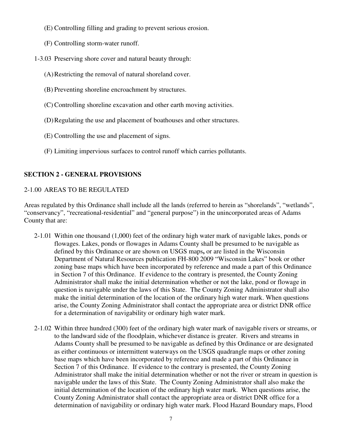- (E) Controlling filling and grading to prevent serious erosion.
- (F) Controlling storm-water runoff.
- 1-3.03 Preserving shore cover and natural beauty through:
	- (A) Restricting the removal of natural shoreland cover.
	- (B) Preventing shoreline encroachment by structures.
	- (C) Controlling shoreline excavation and other earth moving activities.
	- (D) Regulating the use and placement of boathouses and other structures.
	- (E) Controlling the use and placement of signs.
	- (F) Limiting impervious surfaces to control runoff which carries pollutants.

# **SECTION 2 - GENERAL PROVISIONS**

# 2-1.00 AREAS TO BE REGULATED

Areas regulated by this Ordinance shall include all the lands (referred to herein as "shorelands", "wetlands", "conservancy", "recreational-residential" and "general purpose") in the unincorporated areas of Adams County that are:

- 2-1.01 Within one thousand (1,000) feet of the ordinary high water mark of navigable lakes, ponds or flowages. Lakes, ponds or flowages in Adams County shall be presumed to be navigable as defined by this Ordinance or are shown on USGS maps**,** or are listed in the Wisconsin Department of Natural Resources publication FH-800 2009 "Wisconsin Lakes" book or other zoning base maps which have been incorporated by reference and made a part of this Ordinance in Section 7 of this Ordinance. If evidence to the contrary is presented, the County Zoning Administrator shall make the initial determination whether or not the lake, pond or flowage in question is navigable under the laws of this State. The County Zoning Administrator shall also make the initial determination of the location of the ordinary high water mark. When questions arise, the County Zoning Administrator shall contact the appropriate area or district DNR office for a determination of navigability or ordinary high water mark.
- 2-1.02 Within three hundred (300) feet of the ordinary high water mark of navigable rivers or streams, or to the landward side of the floodplain, whichever distance is greater. Rivers and streams in Adams County shall be presumed to be navigable as defined by this Ordinance or are designated as either continuous or intermittent waterways on the USGS quadrangle maps or other zoning base maps which have been incorporated by reference and made a part of this Ordinance in Section 7 of this Ordinance. If evidence to the contrary is presented, the County Zoning Administrator shall make the initial determination whether or not the river or stream in question is navigable under the laws of this State. The County Zoning Administrator shall also make the initial determination of the location of the ordinary high water mark. When questions arise, the County Zoning Administrator shall contact the appropriate area or district DNR office for a determination of navigability or ordinary high water mark. Flood Hazard Boundary maps, Flood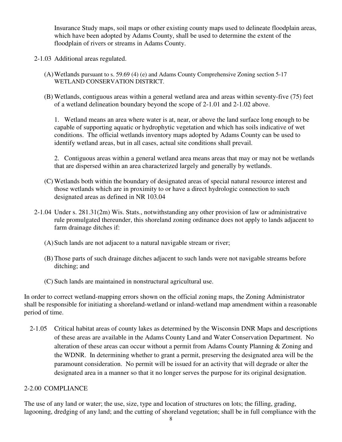Insurance Study maps, soil maps or other existing county maps used to delineate floodplain areas, which have been adopted by Adams County, shall be used to determine the extent of the floodplain of rivers or streams in Adams County.

- 2-1.03 Additional areas regulated.
	- (A) Wetlands pursuant to s. 59.69 (4) (e) and Adams County Comprehensive Zoning section 5-17 WETLAND CONSERVATION DISTRICT*.*
	- (B) Wetlands, contiguous areas within a general wetland area and areas within seventy-five (75) feet of a wetland delineation boundary beyond the scope of 2-1.01 and 2-1.02 above.

 1. Wetland means an area where water is at, near, or above the land surface long enough to be capable of supporting aquatic or hydrophytic vegetation and which has soils indicative of wet conditions. The official wetlands inventory maps adopted by Adams County can be used to identify wetland areas, but in all cases, actual site conditions shall prevail.

 2. Contiguous areas within a general wetland area means areas that may or may not be wetlands that are dispersed within an area characterized largely and generally by wetlands.

- (C) Wetlands both within the boundary of designated areas of special natural resource interest and those wetlands which are in proximity to or have a direct hydrologic connection to such designated areas as defined in NR 103.04
- 2-1.04 Under s. 281.31(2m) Wis. Stats., notwithstanding any other provision of law or administrative rule promulgated thereunder, this shoreland zoning ordinance does not apply to lands adjacent to farm drainage ditches if:
	- (A) Such lands are not adjacent to a natural navigable stream or river;
	- (B) Those parts of such drainage ditches adjacent to such lands were not navigable streams before ditching; and
	- (C) Such lands are maintained in nonstructural agricultural use.

In order to correct wetland-mapping errors shown on the official zoning maps, the Zoning Administrator shall be responsible for initiating a shoreland-wetland or inland-wetland map amendment within a reasonable period of time.

 2-1.05 Critical habitat areas of county lakes as determined by the Wisconsin DNR Maps and descriptions of these areas are available in the Adams County Land and Water Conservation Department. No alteration of these areas can occur without a permit from Adams County Planning & Zoning and the WDNR. In determining whether to grant a permit, preserving the designated area will be the paramount consideration. No permit will be issued for an activity that will degrade or alter the designated area in a manner so that it no longer serves the purpose for its original designation.

#### 2-2.00 COMPLIANCE

The use of any land or water; the use, size, type and location of structures on lots; the filling, grading, lagooning, dredging of any land; and the cutting of shoreland vegetation; shall be in full compliance with the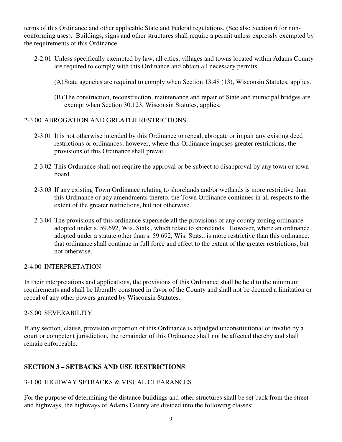terms of this Ordinance and other applicable State and Federal regulations. (See also Section 6 for nonconforming uses). Buildings, signs and other structures shall require a permit unless expressly exempted by the requirements of this Ordinance.

- 2-2.01 Unless specifically exempted by law, all cities, villages and towns located within Adams County are required to comply with this Ordinance and obtain all necessary permits.
	- (A) State agencies are required to comply when Section 13.48 (13), Wisconsin Statutes, applies.
	- (B) The construction, reconstruction, maintenance and repair of State and municipal bridges are exempt when Section 30.123, Wisconsin Statutes, applies.

# 2-3.00 ABROGATION AND GREATER RESTRICTIONS

- 2-3.01 It is not otherwise intended by this Ordinance to repeal, abrogate or impair any existing deed restrictions or ordinances; however, where this Ordinance imposes greater restrictions, the provisions of this Ordinance shall prevail.
- 2-3.02 This Ordinance shall not require the approval or be subject to disapproval by any town or town board.
- 2-3.03 If any existing Town Ordinance relating to shorelands and/or wetlands is more restrictive than this Ordinance or any amendments thereto, the Town Ordinance continues in all respects to the extent of the greater restrictions, but not otherwise.
- 2-3.04 The provisions of this ordinance supersede all the provisions of any county zoning ordinance adopted under s. 59.692, Wis. Stats., which relate to shorelands. However, where an ordinance adopted under a statute other than s. 59.692, Wis. Stats., is more restrictive than this ordinance, that ordinance shall continue in full force and effect to the extent of the greater restrictions, but not otherwise.

# 2-4.00 INTERPRETATION

In their interpretations and applications, the provisions of this Ordinance shall be held to the minimum requirements and shall be liberally construed in favor of the County and shall not be deemed a limitation or repeal of any other powers granted by Wisconsin Statutes.

# 2-5.00 SEVERABILITY

If any section, clause, provision or portion of this Ordinance is adjudged unconstitutional or invalid by a court or competent jurisdiction, the remainder of this Ordinance shall not be affected thereby and shall remain enforceable.

# **SECTION 3 – SETBACKS AND USE RESTRICTIONS**

# 3-1.00 HIGHWAY SETBACKS & VISUAL CLEARANCES

For the purpose of determining the distance buildings and other structures shall be set back from the street and highways, the highways of Adams County are divided into the following classes: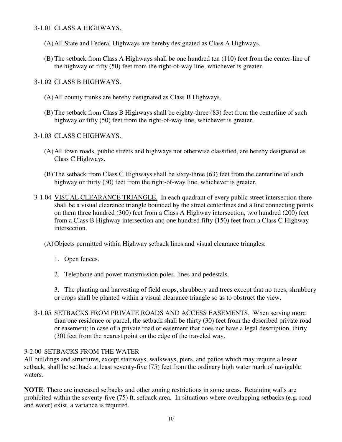## 3-1.01 CLASS A HIGHWAYS.

- (A) All State and Federal Highways are hereby designated as Class A Highways.
- (B) The setback from Class A Highways shall be one hundred ten (110) feet from the center-line of the highway or fifty (50) feet from the right-of-way line, whichever is greater.

## 3-1.02 CLASS B HIGHWAYS.

- (A) All county trunks are hereby designated as Class B Highways.
- (B) The setback from Class B Highways shall be eighty-three (83) feet from the centerline of such highway or fifty (50) feet from the right-of-way line, whichever is greater.

## 3-1.03 CLASS C HIGHWAYS.

- (A) All town roads, public streets and highways not otherwise classified, are hereby designated as Class C Highways.
- (B) The setback from Class C Highways shall be sixty-three (63) feet from the centerline of such highway or thirty (30) feet from the right-of-way line, whichever is greater.
- 3-1.04 VISUAL CLEARANCE TRIANGLE. In each quadrant of every public street intersection there shall be a visual clearance triangle bounded by the street centerlines and a line connecting points on them three hundred (300) feet from a Class A Highway intersection, two hundred (200) feet from a Class B Highway intersection and one hundred fifty (150) feet from a Class C Highway intersection.
	- (A) Objects permitted within Highway setback lines and visual clearance triangles:
		- 1. Open fences.
		- 2. Telephone and power transmission poles, lines and pedestals.

3. The planting and harvesting of field crops, shrubbery and trees except that no trees, shrubbery or crops shall be planted within a visual clearance triangle so as to obstruct the view.

3-1.05 SETBACKS FROM PRIVATE ROADS AND ACCESS EASEMENTS. When serving more than one residence or parcel, the setback shall be thirty (30) feet from the described private road or easement; in case of a private road or easement that does not have a legal description, thirty (30) feet from the nearest point on the edge of the traveled way.

## 3-2.00 SETBACKS FROM THE WATER

All buildings and structures, except stairways, walkways, piers, and patios which may require a lesser setback, shall be set back at least seventy-five (75) feet from the ordinary high water mark of navigable waters.

**NOTE**: There are increased setbacks and other zoning restrictions in some areas. Retaining walls are prohibited within the seventy-five (75) ft. setback area. In situations where overlapping setbacks (e.g. road and water) exist, a variance is required.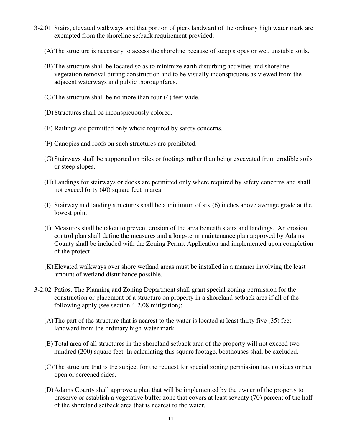- 3-2.01 Stairs, elevated walkways and that portion of piers landward of the ordinary high water mark are exempted from the shoreline setback requirement provided:
	- (A) The structure is necessary to access the shoreline because of steep slopes or wet, unstable soils.
	- (B) The structure shall be located so as to minimize earth disturbing activities and shoreline vegetation removal during construction and to be visually inconspicuous as viewed from the adjacent waterways and public thoroughfares.
	- (C) The structure shall be no more than four (4) feet wide.
	- (D) Structures shall be inconspicuously colored.
	- (E) Railings are permitted only where required by safety concerns.
	- (F) Canopies and roofs on such structures are prohibited.
	- (G) Stairways shall be supported on piles or footings rather than being excavated from erodible soils or steep slopes.
	- (H) Landings for stairways or docks are permitted only where required by safety concerns and shall not exceed forty (40) square feet in area.
	- (I) Stairway and landing structures shall be a minimum of six (6) inches above average grade at the lowest point.
	- (J) Measures shall be taken to prevent erosion of the area beneath stairs and landings. An erosion control plan shall define the measures and a long-term maintenance plan approved by Adams County shall be included with the Zoning Permit Application and implemented upon completion of the project.
	- (K) Elevated walkways over shore wetland areas must be installed in a manner involving the least amount of wetland disturbance possible.
- 3-2.02 Patios. The Planning and Zoning Department shall grant special zoning permission for the construction or placement of a structure on property in a shoreland setback area if all of the following apply (see section 4-2.08 mitigation):
	- (A) The part of the structure that is nearest to the water is located at least thirty five (35) feet landward from the ordinary high-water mark.
	- (B) Total area of all structures in the shoreland setback area of the property will not exceed two hundred (200) square feet. In calculating this square footage, boathouses shall be excluded.
	- (C) The structure that is the subject for the request for special zoning permission has no sides or has open or screened sides.
	- (D) Adams County shall approve a plan that will be implemented by the owner of the property to preserve or establish a vegetative buffer zone that covers at least seventy (70) percent of the half of the shoreland setback area that is nearest to the water.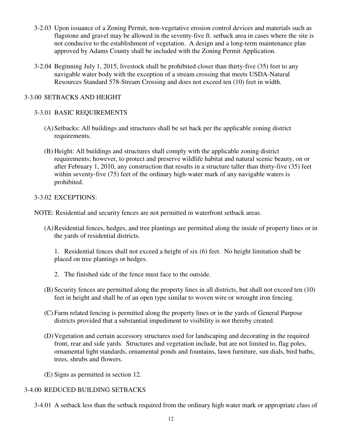- 3-2.03 Upon issuance of a Zoning Permit, non-vegetative erosion control devices and materials such as flagstone and gravel may be allowed in the seventy-five ft. setback area in cases where the site is not conducive to the establishment of vegetation. A design and a long-term maintenance plan approved by Adams County shall be included with the Zoning Permit Application.
- 3-2.04 Beginning July 1, 2015, livestock shall be prohibited closer than thirty-five (35) feet to any navigable water body with the exception of a stream crossing that meets USDA-Natural Resources Standard 578-Stream Crossing and does not exceed ten (10) feet in width.

# 3-3.00 SETBACKS AND HEIGHT

# 3-3.01 BASIC REQUIREMENTS

- (A) Setbacks: All buildings and structures shall be set back per the applicable zoning district requirements.
- (B) Height: All buildings and structures shall comply with the applicable zoning district requirements; however, to protect and preserve wildlife habitat and natural scenic beauty, on or after February 1, 2010, any construction that results in a structure taller than thirty-five (35) feet within seventy-five (75) feet of the ordinary high-water mark of any navigable waters is prohibited.

# 3-3.02 EXCEPTIONS:

NOTE: Residential and security fences are not permitted in waterfront setback areas.

 (A) Residential fences, hedges, and tree plantings are permitted along the inside of property lines or in the yards of residential districts.

 1. Residential fences shall not exceed a height of six (6) feet. No height limitation shall be placed on tree plantings or hedges.

- 2. The finished side of the fence must face to the outside.
- (B) Security fences are permitted along the property lines in all districts, but shall not exceed ten (10) feet in height and shall be of an open type similar to woven wire or wrought iron fencing.
- (C) Farm related fencing is permitted along the property lines or in the yards of General Purpose districts provided that a substantial impediment to visibility is not thereby created.
- (D) Vegetation and certain accessory structures used for landscaping and decorating in the required front, rear and side yards. Structures and vegetation include, but are not limited to, flag poles, ornamental light standards, ornamental ponds and fountains, lawn furniture, sun dials, bird baths, trees, shrubs and flowers.
- (E) Signs as permitted in section 12.

# 3-4.00 REDUCED BUILDING SETBACKS

3-4.01 A setback less than the setback required from the ordinary high water mark or appropriate class of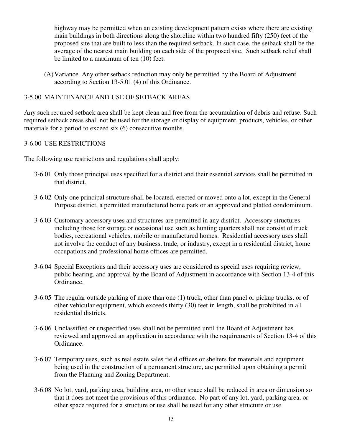highway may be permitted when an existing development pattern exists where there are existing main buildings in both directions along the shoreline within two hundred fifty (250) feet of the proposed site that are built to less than the required setback. In such case, the setback shall be the average of the nearest main building on each side of the proposed site. Such setback relief shall be limited to a maximum of ten (10) feet.

 (A) Variance. Any other setback reduction may only be permitted by the Board of Adjustment according to Section 13-5.01 (4) of this Ordinance.

## 3-5.00 MAINTENANCE AND USE OF SETBACK AREAS

Any such required setback area shall be kept clean and free from the accumulation of debris and refuse. Such required setback areas shall not be used for the storage or display of equipment, products, vehicles, or other materials for a period to exceed six (6) consecutive months.

#### 3-6.00 USE RESTRICTIONS

The following use restrictions and regulations shall apply:

- 3-6.01 Only those principal uses specified for a district and their essential services shall be permitted in that district.
- 3-6.02 Only one principal structure shall be located, erected or moved onto a lot, except in the General Purpose district, a permitted manufactured home park or an approved and platted condominium.
- 3-6.03 Customary accessory uses and structures are permitted in any district. Accessory structures including those for storage or occasional use such as hunting quarters shall not consist of truck bodies, recreational vehicles, mobile or manufactured homes. Residential accessory uses shall not involve the conduct of any business, trade, or industry, except in a residential district, home occupations and professional home offices are permitted.
- 3-6.04 Special Exceptions and their accessory uses are considered as special uses requiring review, public hearing, and approval by the Board of Adjustment in accordance with Section 13-4 of this Ordinance.
- 3-6.05 The regular outside parking of more than one (1) truck, other than panel or pickup trucks, or of other vehicular equipment, which exceeds thirty (30) feet in length, shall be prohibited in all residential districts.
- 3-6.06 Unclassified or unspecified uses shall not be permitted until the Board of Adjustment has reviewed and approved an application in accordance with the requirements of Section 13-4 of this Ordinance.
- 3-6.07 Temporary uses, such as real estate sales field offices or shelters for materials and equipment being used in the construction of a permanent structure, are permitted upon obtaining a permit from the Planning and Zoning Department.
- 3-6.08 No lot, yard, parking area, building area, or other space shall be reduced in area or dimension so that it does not meet the provisions of this ordinance. No part of any lot, yard, parking area, or other space required for a structure or use shall be used for any other structure or use.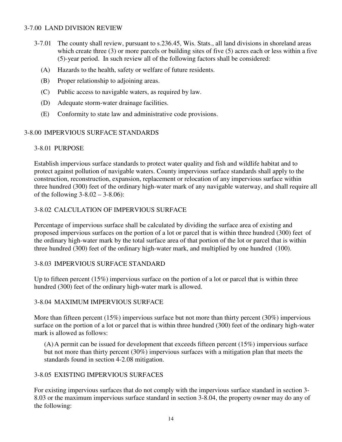## 3-7.00 LAND DIVISION REVIEW

- 3-7.01 The county shall review, pursuant to s.236.45, Wis. Stats., all land divisions in shoreland areas which create three (3) or more parcels or building sites of five (5) acres each or less within a five (5)-year period. In such review all of the following factors shall be considered:
	- (A) Hazards to the health, safety or welfare of future residents.
	- (B) Proper relationship to adjoining areas.
	- (C) Public access to navigable waters, as required by law.
	- (D) Adequate storm-water drainage facilities.
	- (E) Conformity to state law and administrative code provisions.

## 3-8.00 IMPERVIOUS SURFACE STANDARDS

#### 3-8.01 PURPOSE

 Establish impervious surface standards to protect water quality and fish and wildlife habitat and to protect against pollution of navigable waters. County impervious surface standards shall apply to the construction, reconstruction, expansion, replacement or relocation of any impervious surface within three hundred (300) feet of the ordinary high-water mark of any navigable waterway, and shall require all of the following  $3 - 8.02 - 3 - 8.06$ :

## 3-8.02 CALCULATION OF IMPERVIOUS SURFACE

 Percentage of impervious surface shall be calculated by dividing the surface area of existing and proposed impervious surfaces on the portion of a lot or parcel that is within three hundred (300) feet of the ordinary high-water mark by the total surface area of that portion of the lot or parcel that is within three hundred (300) feet of the ordinary high-water mark, and multiplied by one hundred (100).

#### 3-8.03 IMPERVIOUS SURFACE STANDARD

Up to fifteen percent (15%) impervious surface on the portion of a lot or parcel that is within three hundred (300) feet of the ordinary high-water mark is allowed.

#### 3-8.04 MAXIMUM IMPERVIOUS SURFACE

 More than fifteen percent (15%) impervious surface but not more than thirty percent (30%) impervious surface on the portion of a lot or parcel that is within three hundred (300) feet of the ordinary high-water mark is allowed as follows:

 (A) A permit can be issued for development that exceeds fifteen percent (15%) impervious surface but not more than thirty percent (30%) impervious surfaces with a mitigation plan that meets the standards found in section 4-2.08 mitigation.

# 3-8.05 EXISTING IMPERVIOUS SURFACES

 For existing impervious surfaces that do not comply with the impervious surface standard in section 3- 8.03 or the maximum impervious surface standard in section 3-8.04, the property owner may do any of the following: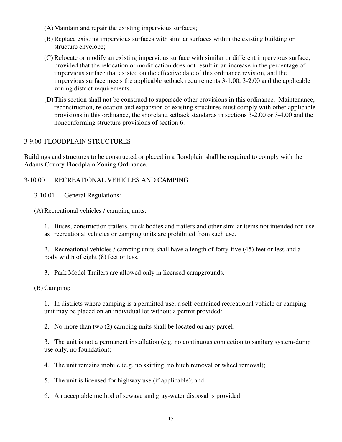- (A) Maintain and repair the existing impervious surfaces;
- (B) Replace existing impervious surfaces with similar surfaces within the existing building or structure envelope;
- (C) Relocate or modify an existing impervious surface with similar or different impervious surface, provided that the relocation or modification does not result in an increase in the percentage of impervious surface that existed on the effective date of this ordinance revision, and the impervious surface meets the applicable setback requirements 3-1.00, 3-2.00 and the applicable zoning district requirements.
- (D) This section shall not be construed to supersede other provisions in this ordinance. Maintenance, reconstruction, relocation and expansion of existing structures must comply with other applicable provisions in this ordinance, the shoreland setback standards in sections 3-2.00 or 3-4.00 and the nonconforming structure provisions of section 6.

# 3-9.00 FLOODPLAIN STRUCTURES

Buildings and structures to be constructed or placed in a floodplain shall be required to comply with the Adams County Floodplain Zoning Ordinance.

# 3-10.00 RECREATIONAL VEHICLES AND CAMPING

3-10.01 General Regulations:

(A) Recreational vehicles / camping units:

 1. Buses, construction trailers, truck bodies and trailers and other similar items not intended for use as recreational vehicles or camping units are prohibited from such use.

 2. Recreational vehicles / camping units shall have a length of forty-five (45) feet or less and a body width of eight (8) feet or less.

3. Park Model Trailers are allowed only in licensed campgrounds.

(B) Camping:

 1. In districts where camping is a permitted use, a self-contained recreational vehicle or camping unit may be placed on an individual lot without a permit provided:

2. No more than two (2) camping units shall be located on any parcel;

 3. The unit is not a permanent installation (e.g. no continuous connection to sanitary system-dump use only, no foundation);

4. The unit remains mobile (e.g. no skirting, no hitch removal or wheel removal);

5. The unit is licensed for highway use (if applicable); and

6. An acceptable method of sewage and gray-water disposal is provided.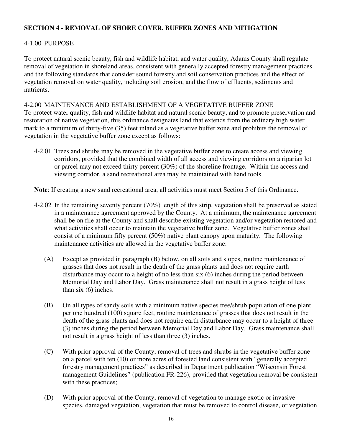# **SECTION 4 - REMOVAL OF SHORE COVER, BUFFER ZONES AND MITIGATION**

## 4-1.00 PURPOSE

To protect natural scenic beauty, fish and wildlife habitat, and water quality, Adams County shall regulate removal of vegetation in shoreland areas, consistent with generally accepted forestry management practices and the following standards that consider sound forestry and soil conservation practices and the effect of vegetation removal on water quality, including soil erosion, and the flow of effluents, sediments and nutrients.

#### 4-2.00 MAINTENANCE AND ESTABLISHMENT OF A VEGETATIVE BUFFER ZONE

To protect water quality, fish and wildlife habitat and natural scenic beauty, and to promote preservation and restoration of native vegetation, this ordinance designates land that extends from the ordinary high water mark to a minimum of thirty-five (35) feet inland as a vegetative buffer zone and prohibits the removal of vegetation in the vegetative buffer zone except as follows:

4-2.01 Trees and shrubs may be removed in the vegetative buffer zone to create access and viewing corridors, provided that the combined width of all access and viewing corridors on a riparian lot or parcel may not exceed thirty percent (30%) of the shoreline frontage. Within the access and viewing corridor, a sand recreational area may be maintained with hand tools.

**Note**: If creating a new sand recreational area, all activities must meet Section 5 of this Ordinance.

- 4-2.02 In the remaining seventy percent (70%) length of this strip, vegetation shall be preserved as stated in a maintenance agreement approved by the County. At a minimum, the maintenance agreement shall be on file at the County and shall describe existing vegetation and/or vegetation restored and what activities shall occur to maintain the vegetative buffer zone. Vegetative buffer zones shall consist of a minimum fifty percent (50%) native plant canopy upon maturity. The following maintenance activities are allowed in the vegetative buffer zone:
	- (A) Except as provided in paragraph (B) below, on all soils and slopes, routine maintenance of grasses that does not result in the death of the grass plants and does not require earth disturbance may occur to a height of no less than six (6) inches during the period between Memorial Day and Labor Day. Grass maintenance shall not result in a grass height of less than six (6) inches.
	- (B) On all types of sandy soils with a minimum native species tree/shrub population of one plant per one hundred (100) square feet, routine maintenance of grasses that does not result in the death of the grass plants and does not require earth disturbance may occur to a height of three (3) inches during the period between Memorial Day and Labor Day. Grass maintenance shall not result in a grass height of less than three (3) inches.
	- (C) With prior approval of the County, removal of trees and shrubs in the vegetative buffer zone on a parcel with ten (10) or more acres of forested land consistent with "generally accepted forestry management practices" as described in Department publication "Wisconsin Forest management Guidelines" (publication FR-226), provided that vegetation removal be consistent with these practices;
	- (D) With prior approval of the County, removal of vegetation to manage exotic or invasive species, damaged vegetation, vegetation that must be removed to control disease, or vegetation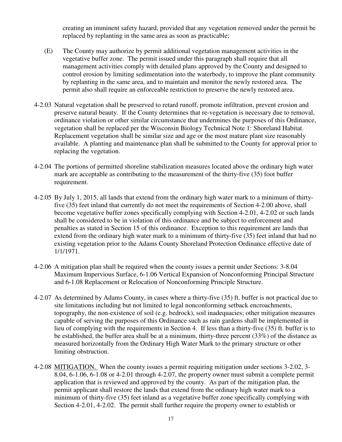creating an imminent safety hazard, provided that any vegetation removed under the permit be replaced by replanting in the same area as soon as practicable;

- (E) The County may authorize by permit additional vegetation management activities in the vegetative buffer zone. The permit issued under this paragraph shall require that all management activities comply with detailed plans approved by the County and designed to control erosion by limiting sedimentation into the waterbody, to improve the plant community by replanting in the same area, and to maintain and monitor the newly restored area. The permit also shall require an enforceable restriction to preserve the newly restored area.
- 4-2.03 Natural vegetation shall be preserved to retard runoff, promote infiltration, prevent erosion and preserve natural beauty. If the County determines that re-vegetation is necessary due to removal, ordinance violation or other similar circumstance that undermines the purposes of this Ordinance, vegetation shall be replaced per the Wisconsin Biology Technical Note 1: Shoreland Habitat. Replacement vegetation shall be similar size and age or the most mature plant size reasonably available. A planting and maintenance plan shall be submitted to the County for approval prior to replacing the vegetation.
- 4-2.04 The portions of permitted shoreline stabilization measures located above the ordinary high water mark are acceptable as contributing to the measurement of the thirty-five (35) foot buffer requirement.
- 4-2.05 By July 1, 2015, all lands that extend from the ordinary high water mark to a minimum of thirty five (35) feet inland that currently do not meet the requirements of Section 4-2.00 above, shall become vegetative buffer zones specifically complying with Section 4-2.01, 4-2.02 or such lands shall be considered to be in violation of this ordinance and be subject to enforcement and penalties as stated in Section 15 of this ordinance. Exception to this requirement are lands that extend from the ordinary high water mark to a minimum of thirty-five (35) feet inland that had no existing vegetation prior to the Adams County Shoreland Protection Ordinance effective date of 1/1/1971.
- 4-2.06 A mitigation plan shall be required when the county issues a permit under Sections: 3-8.04 Maximum Impervious Surface, 6-1.06 Vertical Expansion of Nonconforming Principal Structure and 6-1.08 Replacement or Relocation of Nonconforming Principle Structure.
- 4-2.07 As determined by Adams County, in cases where a thirty-five (35) ft. buffer is not practical due to site limitations including but not limited to legal nonconforming setback encroachments, topography, the non-existence of soil (e.g. bedrock), soil inadequacies; other mitigation measures capable of serving the purposes of this Ordinance such as rain gardens shall be implemented in lieu of complying with the requirements in Section 4. If less than a thirty-five (35) ft. buffer is to be established, the buffer area shall be at a minimum, thirty-three percent (33%) of the distance as measured horizontally from the Ordinary High Water Mark to the primary structure or other limiting obstruction.
- 4-2.08 MITIGATION. When the county issues a permit requiring mitigation under sections 3-2.02, 3- 8.04, 6-1.06, 6-1.08 or 4-2.01 through 4-2.07, the property owner must submit a complete permit application that is reviewed and approved by the county. As part of the mitigation plan, the permit applicant shall restore the lands that extend from the ordinary high water mark to a minimum of thirty-five (35) feet inland as a vegetative buffer zone specifically complying with Section 4-2.01, 4-2.02. The permit shall further require the property owner to establish or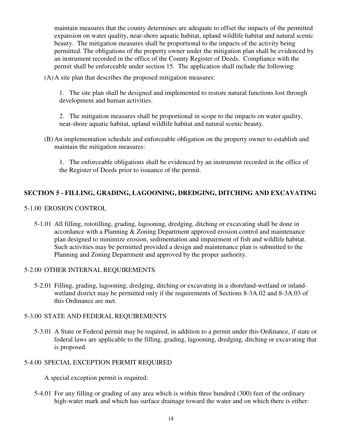maintain measures that the county determines are adequate to offset the impacts of the permitted expansion on water quality, near-shore aquatic habitat, upland wildlife habitat and natural scenic beauty. The mitigation measures shall be proportional to the impacts of the activity being permitted. The obligations of the property owner under the mitigation plan shall be evidenced by an instrument recorded in the office of the County Register of Deeds. Compliance with the permit shall be enforceable under section 15. The application shall include the following:

(A)A site plan that describes the proposed mitigation measures:

1. The site plan shall be designed and implemented to restore natural functions lost through development and human activities.

2. The mitigation measures shall be proportional in scope to the impacts on water quality, near-shore aquatic habitat, upland wildlife habitat and natural scenic beauty.

(B) An implementation schedule and enforceable obligation on the property owner to establish and maintain the mitigation measures:

1. The enforceable obligations shall be evidenced by an instrument recorded in the office of the Register of Deeds prior to issuance of the permit.

# **SECTION 5 - FILLING, GRADING, LAGOONING, DREDGING, DITCHING AND EXCAVATING**

#### 5-1.00 EROSION CONTROL

 5-1.01 All filling, rototilling, grading, lagooning, dredging, ditching or excavating shall be done in accordance with a Planning & Zoning Department approved erosion control and maintenance plan designed to minimize erosion, sedimentation and impairment of fish and wildlife habitat. Such activities may be permitted provided a design and maintenance plan is submitted to the Planning and Zoning Department and approved by the proper aurhority.

#### 5-2.00 OTHER INTERNAL REQUIREMENTS

 5-2.01 Filling, grading, lagooning, dredging, ditching or excavating in a shoreland-wetland or inlandwetland district may be permitted only if the requirements of Sections 8-3A.02 and 8-3A.03 of this Ordinance are met.

#### 5-3.00 STATE AND FEDERAL REQUIREMENTS

 5-3.01 A State or Federal permit may be required, in addition to a permit under this Ordinance, if state or federal laws are applicable to the filling, grading, lagooning, dredging, ditching or excavating that is proposed.

# 5-4.00 SPECIAL EXCEPTION PERMIT REQUIRED

A special exception permit is required:

 5-4.01 For any filling or grading of any area which is within three hundred (300) feet of the ordinary high-water mark and which has surface drainage toward the water and on which there is either: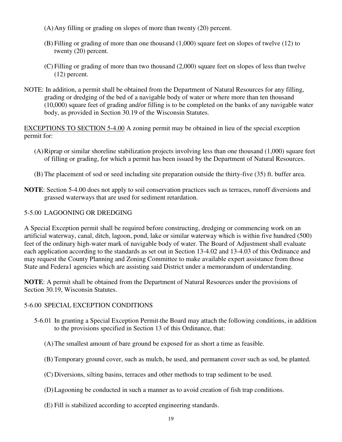- (A) Any filling or grading on slopes of more than twenty (20) percent.
- (B) Filling or grading of more than one thousand (1,000) square feet on slopes of twelve (12) to twenty (20) percent.
- (C) Filling or grading of more than two thousand (2,000) square feet on slopes of less than twelve (12) percent.
- NOTE: In addition, a permit shall be obtained from the Department of Natural Resources for any filling, grading or dredging of the bed of a navigable body of water or where more than ten thousand (10,000) square feet of grading and/or filling is to be completed on the banks of any navigable water body, as provided in Section 30.19 of the Wisconsin Statutes.

EXCEPTIONS TO SECTION 5-4.00 A zoning permit may be obtained in lieu of the special exception permit for:

- (A) Riprap or similar shoreline stabilization projects involving less than one thousand (1,000) square feet of filling or grading, for which a permit has been issued by the Department of Natural Resources.
- (B) The placement of sod or seed including site preparation outside the thirty-five (35) ft. buffer area.
- **NOTE**: Section 5-4.00 does not apply to soil conservation practices such as terraces, runoff diversions and grassed waterways that are used for sediment retardation.

# 5-5.00 LAGOONING OR DREDGING

A Special Exception permit shall be required before constructing, dredging or commencing work on an artificial waterway, canal, ditch, lagoon, pond, lake or similar waterway which is within five hundred (500) feet of the ordinary high-water mark of navigable body of water. The Board of Adjustment shall evaluate each application according to the standards as set out in Section 13-4.02 and 13-4.03 of this Ordinance and may request the County Planning and Zoning Committee to make available expert assistance from those State and Federa1 agencies which are assisting said District under a memorandum of understanding.

**NOTE**: A permit shall be obtained from the Department of Natural Resources under the provisions of Section 30.19, Wisconsin Statutes.

# 5-6.00 SPECIAL EXCEPTION CONDITIONS

- 5-6.01 In granting a Special Exception Permit the Board may attach the following conditions, in addition to the provisions specified in Section 13 of this Ordinance, that:
	- (A) The smallest amount of bare ground be exposed for as short a time as feasible.
	- (B) Temporary ground cover, such as mulch, be used, and permanent cover such as sod, be planted.
	- (C) Diversions, silting basins, terraces and other methods to trap sediment to be used.
	- (D) Lagooning be conducted in such a manner as to avoid creation of fish trap conditions.
	- (E) Fill is stabilized according to accepted engineering standards.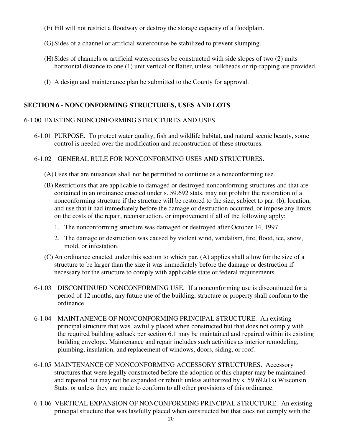- (F) Fill will not restrict a floodway or destroy the storage capacity of a floodplain.
- (G) Sides of a channel or artificial watercourse be stabilized to prevent slumping.
- (H) Sides of channels or artificial watercourses be constructed with side slopes of two (2) units horizontal distance to one (1) unit vertical or flatter, unless bulkheads or rip-rapping are provided.
- (I) A design and maintenance plan be submitted to the County for approval.

# **SECTION 6 - NONCONFORMING STRUCTURES, USES AND LOTS**

## 6-1.00 EXISTING NONCONFORMING STRUCTURES AND USES.

- 6-1.01 PURPOSE. To protect water quality, fish and wildlife habitat, and natural scenic beauty, some control is needed over the modification and reconstruction of these structures.
- 6-1.02 GENERAL RULE FOR NONCONFORMING USES AND STRUCTURES.
	- (A) Uses that are nuisances shall not be permitted to continue as a nonconforming use.
	- (B) Restrictions that are applicable to damaged or destroyed nonconforming structures and that are contained in an ordinance enacted under s. 59.692 stats. may not prohibit the restoration of a nonconforming structure if the structure will be restored to the size, subject to par. (b), location, and use that it had immediately before the damage or destruction occurred, or impose any limits on the costs of the repair, reconstruction, or improvement if all of the following apply:
		- 1. The nonconforming structure was damaged or destroyed after October 14, 1997.
		- 2. The damage or destruction was caused by violent wind, vandalism, fire, flood, ice, snow, mold, or infestation.
	- (C) An ordinance enacted under this section to which par. (A) applies shall allow for the size of a structure to be larger than the size it was immediately before the damage or destruction if necessary for the structure to comply with applicable state or federal requirements.
- 6-1.03 DISCONTINUED NONCONFORMING USE. If a nonconforming use is discontinued for a period of 12 months, any future use of the building, structure or property shall conform to the ordinance.
- 6-1.04 MAINTANENCE OF NONCONFORMING PRINCIPAL STRUCTURE. An existing principal structure that was lawfully placed when constructed but that does not comply with the required building setback per section 6.1 may be maintained and repaired within its existing building envelope. Maintenance and repair includes such activities as interior remodeling, plumbing, insulation, and replacement of windows, doors, siding, or roof.
- 6-1.05 MAINTENANCE OF NONCONFORMING ACCESSORY STRUCTURES. Accessory structures that were legally constructed before the adoption of this chapter may be maintained and repaired but may not be expanded or rebuilt unless authorized by s. 59.692(1s) Wisconsin Stats. or unless they are made to conform to all other provisions of this ordinance.
- 6-1.06 VERTICAL EXPANSION OF NONCONFORMING PRINCIPAL STRUCTURE. An existing principal structure that was lawfully placed when constructed but that does not comply with the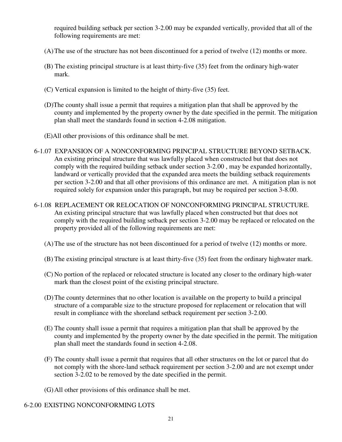required building setback per section 3-2.00 may be expanded vertically, provided that all of the following requirements are met:

- (A) The use of the structure has not been discontinued for a period of twelve (12) months or more.
- (B) The existing principal structure is at least thirty-five (35) feet from the ordinary high-water mark.
- (C) Vertical expansion is limited to the height of thirty-five (35) feet.
- (D)The county shall issue a permit that requires a mitigation plan that shall be approved by the county and implemented by the property owner by the date specified in the permit. The mitigation plan shall meet the standards found in section 4-2.08 mitigation.
- (E)All other provisions of this ordinance shall be met.
- 6-1.07 EXPANSION OF A NONCONFORMING PRINCIPAL STRUCTURE BEYOND SETBACK. An existing principal structure that was lawfully placed when constructed but that does not comply with the required building setback under section 3-2.00 , may be expanded horizontally, landward or vertically provided that the expanded area meets the building setback requirements per section 3-2.00 and that all other provisions of this ordinance are met. A mitigation plan is not required solely for expansion under this paragraph, but may be required per section 3-8.00.
- 6-1.08 REPLACEMENT OR RELOCATION OF NONCONFORMING PRINCIPAL STRUCTURE. An existing principal structure that was lawfully placed when constructed but that does not comply with the required building setback per section 3-2.00 may be replaced or relocated on the property provided all of the following requirements are met:
	- (A) The use of the structure has not been discontinued for a period of twelve (12) months or more.
	- (B) The existing principal structure is at least thirty-five (35) feet from the ordinary highwater mark.
	- (C) No portion of the replaced or relocated structure is located any closer to the ordinary high-water mark than the closest point of the existing principal structure.
	- (D) The county determines that no other location is available on the property to build a principal structure of a comparable size to the structure proposed for replacement or relocation that will result in compliance with the shoreland setback requirement per section 3-2.00.
	- (E) The county shall issue a permit that requires a mitigation plan that shall be approved by the county and implemented by the property owner by the date specified in the permit. The mitigation plan shall meet the standards found in section 4-2.08.
	- (F) The county shall issue a permit that requires that all other structures on the lot or parcel that do not comply with the shore-land setback requirement per section 3-2.00 and are not exempt under section 3-2.02 to be removed by the date specified in the permit.
	- (G) All other provisions of this ordinance shall be met.

# 6-2.00 EXISTING NONCONFORMING LOTS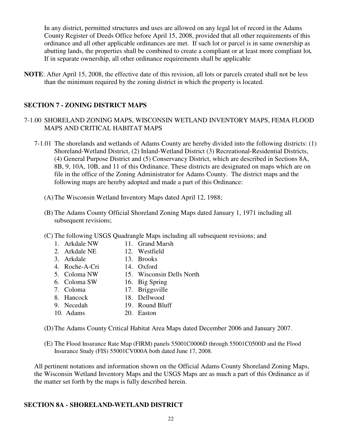In any district, permitted structures and uses are allowed on any legal lot of record in the Adams County Register of Deeds Office before April 15, 2008, provided that all other requirements of this ordinance and all other applicable ordinances are met. If such lot or parcel is in same ownership as abutting lands, the properties shall be combined to create a compliant or at least more compliant lot*.* If in separate ownership, all other ordinance requirements shall be applicable

**NOTE**: After April 15, 2008, the effective date of this revision, all lots or parcels created shall not be less than the minimum required by the zoning district in which the property is located.

# **SECTION 7 - ZONING DISTRICT MAPS**

# 7-1.00 SHORELAND ZONING MAPS, WISCONSIN WETLAND INVENTORY MAPS, FEMA FLOOD MAPS AND CRITICAL HABITAT MAPS

- 7-1.01 The shorelands and wetlands of Adams County are hereby divided into the following districts: (1) Shoreland-Wetland District, (2) Inland-Wetland District (3) Recreational-Residential Districts, (4) General Purpose District and (5) Conservancy District, which are described in Sections 8A, 8B, 9, 10A, 10B, and 11 of this Ordinance. These districts are designated on maps which are on file in the office of the Zoning Administrator for Adams County. The district maps and the following maps are hereby adopted and made a part of this Ordinance:
	- (A) The Wisconsin Wetland Inventory Maps dated April 12, 1988;
	- (B) The Adams County Official Shoreland Zoning Maps dated January 1, 1971 including all subsequent revisions;
	- (C) The following USGS Quadrangle Maps including all subsequent revisions; and
		- 1. Arkdale NW 11. Grand Marsh
		- 2. Arkdale NE 12. Westfield
		- 3. Arkdale 13. Brooks
			-
		- 4. Roche-A-Cri 14. Oxford
		- 5. Coloma NW 15. Wisconsin Dells North
		- 6. Coloma SW 16. Big Spring
		- 7. Coloma 17. Briggsville<br>
		8. Hancock 18. Dellwood
		- 18. Dellwood
		- 9. Necedah 19. Round Bluff
		- 10. Adams 20. Easton

(D) The Adams County Critical Habitat Area Maps dated December 2006 and January 2007.

(E) The Flood Insurance Rate Map (FIRM) panels 55001C0006D through 55001C0500D and the Flood Insurance Study (FIS) 55001CV000A both dated June 17, 2008.

All pertinent notations and information shown on the Official Adams County Shoreland Zoning Maps, the Wisconsin Wetland Inventory Maps and the USGS Maps are as much a part of this Ordinance as if the matter set forth by the maps is fully described herein.

#### **SECTION 8A - SHORELAND-WETLAND DISTRICT**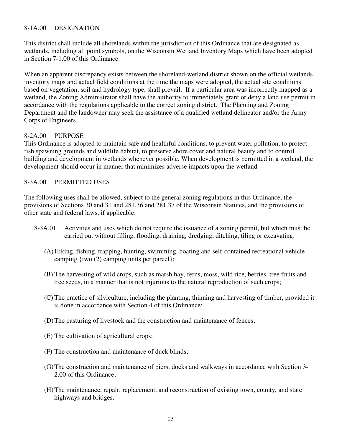## 8-1A.00 DESIGNATION

This district shall include all shorelands within the jurisdiction of this Ordinance that are designated as wetlands, including all point symbols, on the Wisconsin Wetland Inventory Maps which have been adopted in Section 7-1.00 of this Ordinance.

When an apparent discrepancy exists between the shoreland-wetland district shown on the official wetlands inventory maps and actual field conditions at the time the maps were adopted, the actual site conditions based on vegetation, soil and hydrology type, shall prevail. If a particular area was incorrectly mapped as a wetland, the Zoning Administrator shall have the authority to immediately grant or deny a land use permit in accordance with the regulations applicable to the correct zoning district. The Planning and Zoning Department and the landowner may seek the assistance of a qualified wetland delineator and/or the Army Corps of Engineers.

#### 8-2A.00 PURPOSE

This Ordinance is adopted to maintain safe and healthful conditions, to prevent water pollution, to protect fish spawning grounds and wildlife habitat, to preserve shore cover and natural beauty and to control building and development in wetlands whenever possible. When development is permitted in a wetland, the development should occur in manner that minimizes adverse impacts upon the wetland.

#### 8-3A.00 PERMITTED USES

The following uses shall be allowed, subject to the general zoning regulations in this Ordinance, the provisions of Sections 30 and 31 and 281.36 and 281.37 of the Wisconsin Statutes, and the provisions of other state and federal laws, if applicable:

- 8-3A.01 Activities and uses which do not require the issuance of a zoning permit, but which must be carried out without filling, flooding, draining, dredging, ditching, tiling or excavating:
	- (A) Hiking, fishing, trapping, hunting, swimming, boating and self-contained recreational vehicle camping {two (2) camping units per parcel};
	- (B) The harvesting of wild crops, such as marsh hay, ferns, moss, wild rice, berries, tree fruits and tree seeds, in a manner that is not injurious to the natural reproduction of such crops;
	- (C) The practice of silviculture, including the planting, thinning and harvesting of timber, provided it is done in accordance with Section 4 of this Ordinance;
	- (D) The pasturing of livestock and the construction and maintenance of fences;
	- (E) The cultivation of agricultural crops;
	- (F) The construction and maintenance of duck blinds;
	- (G) The construction and maintenance of piers, docks and walkways in accordance with Section 3- 2.00 of this Ordinance;
	- (H) The maintenance, repair, replacement, and reconstruction of existing town, county, and state highways and bridges.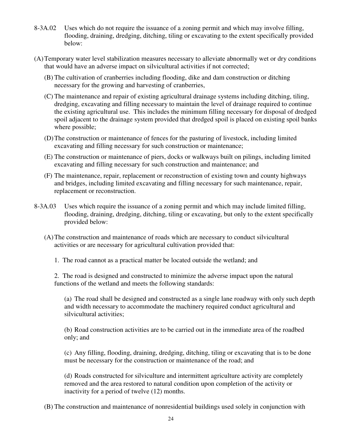- 8-3A.02 Uses which do not require the issuance of a zoning permit and which may involve filling, flooding, draining, dredging, ditching, tiling or excavating to the extent specifically provided below:
- (A) Temporary water level stabilization measures necessary to alleviate abnormally wet or dry conditions that would have an adverse impact on silvicultural activities if not corrected;
	- (B) The cultivation of cranberries including flooding, dike and dam construction or ditching necessary for the growing and harvesting of cranberries,
	- (C) The maintenance and repair of existing agricultural drainage systems including ditching, tiling, dredging, excavating and filling necessary to maintain the level of drainage required to continue the existing agricultural use. This includes the minimum filling necessary for disposal of dredged spoil adjacent to the drainage system provided that dredged spoil is placed on existing spoil banks where possible;
	- (D) The construction or maintenance of fences for the pasturing of livestock, including limited excavating and filling necessary for such construction or maintenance;
	- (E) The construction or maintenance of piers, docks or walkways built on pilings, including limited excavating and filling necessary for such construction and maintenance; and
	- (F) The maintenance, repair, replacement or reconstruction of existing town and county highways and bridges, including limited excavating and filling necessary for such maintenance, repair, replacement or reconstruction.
- 8-3A.03 Uses which require the issuance of a zoning permit and which may include limited filling, flooding, draining, dredging, ditching, tiling or excavating, but only to the extent specifically provided below:
	- (A) The construction and maintenance of roads which are necessary to conduct silvicultural activities or are necessary for agricultural cultivation provided that:
		- 1. The road cannot as a practical matter be located outside the wetland; and

2. The road is designed and constructed to minimize the adverse impact upon the natural functions of the wetland and meets the following standards:

(a) The road shall be designed and constructed as a single lane roadway with only such depth and width necessary to accommodate the machinery required conduct agricultural and silvicultural activities;

(b) Road construction activities are to be carried out in the immediate area of the roadbed only; and

(c) Any filling, flooding, draining, dredging, ditching, tiling or excavating that is to be done must be necessary for the construction or maintenance of the road; and

(d) Roads constructed for silviculture and intermittent agriculture activity are completely removed and the area restored to natural condition upon completion of the activity or inactivity for a period of twelve (12) months.

(B) The construction and maintenance of nonresidential buildings used solely in conjunction with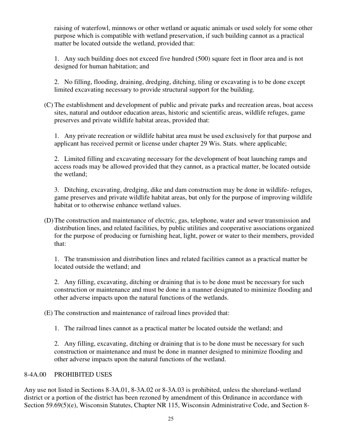raising of waterfowl, minnows or other wetland or aquatic animals or used solely for some other purpose which is compatible with wetland preservation, if such building cannot as a practical matter be located outside the wetland, provided that:

 1. Any such building does not exceed five hundred (500) square feet in floor area and is not designed for human habitation; and

2. No filling, flooding, draining, dredging, ditching, tiling or excavating is to be done except limited excavating necessary to provide structural support for the building.

(C) The establishment and development of public and private parks and recreation areas, boat access sites, natural and outdoor education areas, historic and scientific areas, wildlife refuges, game preserves and private wildlife habitat areas, provided that:

1. Any private recreation or wildlife habitat area must be used exclusively for that purpose and applicant has received permit or license under chapter 29 Wis. Stats. where applicable;

2. Limited filling and excavating necessary for the development of boat launching ramps and access roads may be allowed provided that they cannot, as a practical matter, be located outside the wetland;

3. Ditching, excavating, dredging, dike and dam construction may be done in wildlife- refuges, game preserves and private wildlife habitat areas, but only for the purpose of improving wildlife habitat or to otherwise enhance wetland values.

(D) The construction and maintenance of electric, gas, telephone, water and sewer transmission and distribution lines, and related facilities, by public utilities and cooperative associations organized for the purpose of producing or furnishing heat, light, power or water to their members, provided that:

1. The transmission and distribution lines and related facilities cannot as a practical matter be located outside the wetland; and

2. Any filling, excavating, ditching or draining that is to be done must be necessary for such construction or maintenance and must be done in a manner designated to minimize flooding and other adverse impacts upon the natural functions of the wetlands.

(E) The construction and maintenance of railroad lines provided that:

1. The railroad lines cannot as a practical matter be located outside the wetland; and

2. Any filling, excavating, ditching or draining that is to be done must be necessary for such construction or maintenance and must be done in manner designed to minimize flooding and other adverse impacts upon the natural functions of the wetland.

# 8-4A.00 PROHIBITED USES

Any use not listed in Sections 8-3A.01, 8-3A.02 or 8-3A.03 is prohibited, unless the shoreland-wetland district or a portion of the district has been rezoned by amendment of this Ordinance in accordance with Section 59.69(5)(e), Wisconsin Statutes, Chapter NR 115, Wisconsin Administrative Code, and Section 8-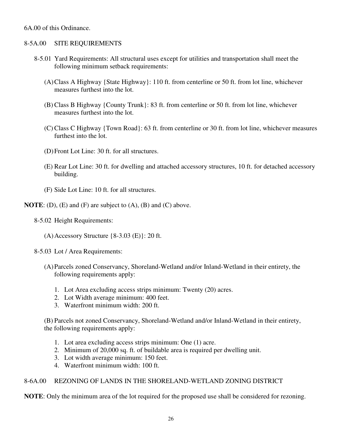#### 6A.00 of this Ordinance.

#### 8-5A.00 SITE REQUIREMENTS

- 8-5.01 Yard Requirements: All structural uses except for utilities and transportation shall meet the following minimum setback requirements:
	- (A) Class A Highway {State Highway}: 110 ft. from centerline or 50 ft. from lot line, whichever measures furthest into the lot.
	- (B) Class B Highway {County Trunk}: 83 ft. from centerline or 50 ft. from lot line, whichever measures furthest into the lot.
	- (C) Class C Highway {Town Road}: 63 ft. from centerline or 30 ft. from lot line, whichever measures furthest into the lot.
	- (D) Front Lot Line: 30 ft. for all structures.
	- (E) Rear Lot Line: 30 ft. for dwelling and attached accessory structures, 10 ft. for detached accessory building.
	- (F) Side Lot Line: 10 ft. for all structures.

**NOTE**: (D), (E) and (F) are subject to (A), (B) and (C) above.

- 8-5.02 Height Requirements:
	- (A)Accessory Structure {8-3.03 (E)}: 20 ft.

8-5.03 Lot / Area Requirements:

- (A) Parcels zoned Conservancy, Shoreland-Wetland and/or Inland-Wetland in their entirety, the following requirements apply:
	- 1. Lot Area excluding access strips minimum: Twenty (20) acres.
	- 2. Lot Width average minimum: 400 feet.
	- 3. Waterfront minimum width: 200 ft.

 (B) Parcels not zoned Conservancy, Shoreland-Wetland and/or Inland-Wetland in their entirety, the following requirements apply:

- 1. Lot area excluding access strips minimum: One (1) acre.
- 2. Minimum of 20,000 sq. ft. of buildable area is required per dwelling unit.
- 3. Lot width average minimum: 150 feet.
- 4. Waterfront minimum width: 100 ft.

## 8-6A.00 REZONING OF LANDS IN THE SHORELAND-WETLAND ZONING DISTRICT

**NOTE**: Only the minimum area of the lot required for the proposed use shall be considered for rezoning.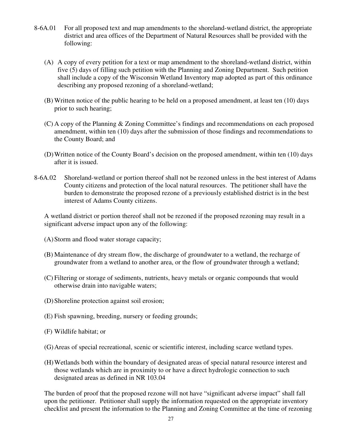- 8-6A.01 For all proposed text and map amendments to the shoreland-wetland district, the appropriate district and area offices of the Department of Natural Resources shall be provided with the following:
	- (A) A copy of every petition for a text or map amendment to the shoreland-wetland district, within five (5) days of filling such petition with the Planning and Zoning Department. Such petition shall include a copy of the Wisconsin Wetland Inventory map adopted as part of this ordinance describing any proposed rezoning of a shoreland-wetland;
	- (B) Written notice of the public hearing to be held on a proposed amendment, at least ten (10) days prior to such hearing;
	- (C) A copy of the Planning & Zoning Committee's findings and recommendations on each proposed amendment, within ten (10) days after the submission of those findings and recommendations to the County Board; and
	- (D) Written notice of the County Board's decision on the proposed amendment, within ten (10) days after it is issued.
- 8-6A.02 Shoreland-wetland or portion thereof shall not be rezoned unless in the best interest of Adams County citizens and protection of the local natural resources. The petitioner shall have the burden to demonstrate the proposed rezone of a previously established district is in the best interest of Adams County citizens.

A wetland district or portion thereof shall not be rezoned if the proposed rezoning may result in a significant adverse impact upon any of the following:

- (A) Storm and flood water storage capacity;
- (B) Maintenance of dry stream flow, the discharge of groundwater to a wetland, the recharge of groundwater from a wetland to another area, or the flow of groundwater through a wetland;
- (C) Filtering or storage of sediments, nutrients, heavy metals or organic compounds that would otherwise drain into navigable waters;
- (D) Shoreline protection against soil erosion;
- (E) Fish spawning, breeding, nursery or feeding grounds;
- (F) Wildlife habitat; or
- (G) Areas of special recreational, scenic or scientific interest, including scarce wetland types.
- (H) Wetlands both within the boundary of designated areas of special natural resource interest and those wetlands which are in proximity to or have a direct hydrologic connection to such designated areas as defined in NR 103.04

The burden of proof that the proposed rezone will not have "significant adverse impact" shall fall upon the petitioner. Petitioner shall supply the information requested on the appropriate inventory checklist and present the information to the Planning and Zoning Committee at the time of rezoning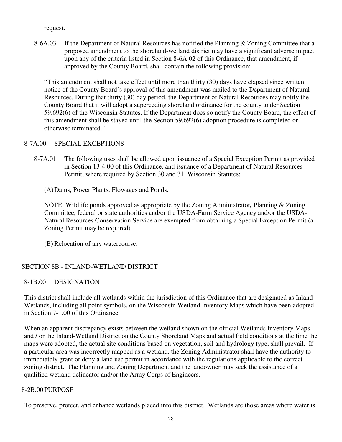request.

 8-6A.03 If the Department of Natural Resources has notified the Planning & Zoning Committee that a proposed amendment to the shoreland-wetland district may have a significant adverse impact upon any of the criteria listed in Section 8-6A.02 of this Ordinance, that amendment, if approved by the County Board, shall contain the following provision:

"This amendment shall not take effect until more than thirty (30) days have elapsed since written notice of the County Board's approval of this amendment was mailed to the Department of Natural Resources. During that thirty (30) day period, the Department of Natural Resources may notify the County Board that it will adopt a superceding shoreland ordinance for the county under Section 59.692(6) of the Wisconsin Statutes. If the Department does so notify the County Board, the effect of this amendment shall be stayed until the Section 59.692(6) adoption procedure is completed or otherwise terminated."

# 8-7A.00 SPECIAL EXCEPTIONS

 8-7A.01 The following uses shall be allowed upon issuance of a Special Exception Permit as provided in Section 13-4.00 of this Ordinance, and issuance of a Department of Natural Resources Permit, where required by Section 30 and 31, Wisconsin Statutes:

(A) Dams, Power Plants, Flowages and Ponds.

NOTE: Wildlife ponds approved as appropriate by the Zoning Administrator*,* Planning & Zoning Committee, federal or state authorities and/or the USDA-Farm Service Agency and/or the USDA-Natural Resources Conservation Service are exempted from obtaining a Special Exception Permit (a Zoning Permit may be required).

(B) Relocation of any watercourse.

# SECTION 8B - INLAND-WETLAND DISTRICT

# 8-1B.00 DESIGNATION

This district shall include all wetlands within the jurisdiction of this Ordinance that are designated as Inland-Wetlands, including all point symbols, on the Wisconsin Wetland Inventory Maps which have been adopted in Section 7-1.00 of this Ordinance.

When an apparent discrepancy exists between the wetland shown on the official Wetlands Inventory Maps and / or the Inland-Wetland District on the County Shoreland Maps and actual field conditions at the time the maps were adopted, the actual site conditions based on vegetation, soil and hydrology type, shall prevail. If a particular area was incorrectly mapped as a wetland, the Zoning Administrator shall have the authority to immediately grant or deny a land use permit in accordance with the regulations applicable to the correct zoning district. The Planning and Zoning Department and the landowner may seek the assistance of a qualified wetland delineator and/or the Army Corps of Engineers.

#### 8-2B.00 PURPOSE

To preserve, protect, and enhance wetlands placed into this district. Wetlands are those areas where water is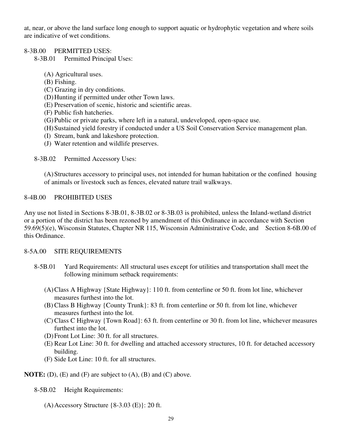at, near, or above the land surface long enough to support aquatic or hydrophytic vegetation and where soils are indicative of wet conditions.

#### 8-3B.00 PERMITTED USES:

# 8-3B.01 Permitted Principal Uses:

- (A) Agricultural uses.
- (B) Fishing.
- (C) Grazing in dry conditions.
- (D) Hunting if permitted under other Town laws.
- (E) Preservation of scenic, historic and scientific areas.
- (F) Public fish hatcheries.
- (G) Public or private parks, where left in a natural, undeveloped, open-space use.
- (H) Sustained yield forestry if conducted under a US Soil Conservation Service management plan.
- (I) Stream, bank and lakeshore protection.
- (J) Water retention and wildlife preserves.

8-3B.02 Permitted Accessory Uses:

(A) Structures accessory to principal uses, not intended for human habitation or the confined housing of animals or livestock such as fences, elevated nature trail walkways.

#### 8-4B.00 PROHIBITED USES

Any use not listed in Sections 8-3B.01, 8-3B.02 or 8-3B.03 is prohibited, unless the Inland-wetland district or a portion of the district has been rezoned by amendment of this Ordinance in accordance with Section 59.69(5)(e), Wisconsin Statutes, Chapter NR 115, Wisconsin Administrative Code, and Section 8-6B.00 of this Ordinance.

#### 8-5A.00 SITE REQUIREMENTS

- 8-5B.01 Yard Requirements: All structural uses except for utilities and transportation shall meet the following minimum setback requirements:
	- (A) Class A Highway {State Highway}: 110 ft. from centerline or 50 ft. from lot line, whichever measures furthest into the lot.
	- (B) Class B Highway {County Trunk}: 83 ft. from centerline or 50 ft. from lot line, whichever measures furthest into the lot.
	- (C) Class C Highway {Town Road}: 63 ft. from centerline or 30 ft. from lot line, whichever measures furthest into the lot.
	- (D) Front Lot Line: 30 ft. for all structures.
	- (E) Rear Lot Line: 30 ft. for dwelling and attached accessory structures, 10 ft. for detached accessory building.
	- (F) Side Lot Line: 10 ft. for all structures.

**NOTE:** (D), (E) and (F) are subject to (A), (B) and (C) above.

8-5B.02 Height Requirements:

 $(A)$  Accessory Structure  $\{8-3.03 \times C\}$ : 20 ft.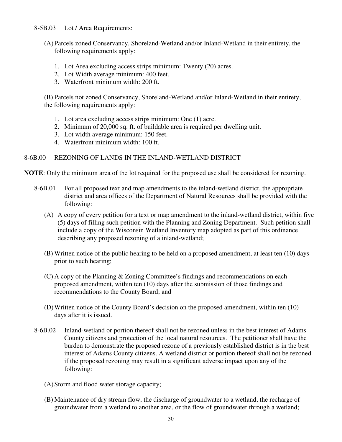#### 8-5B.03 Lot / Area Requirements:

- (A) Parcels zoned Conservancy, Shoreland-Wetland and/or Inland-Wetland in their entirety, the following requirements apply:
	- 1. Lot Area excluding access strips minimum: Twenty (20) acres.
	- 2. Lot Width average minimum: 400 feet.
	- 3. Waterfront minimum width: 200 ft.

 (B) Parcels not zoned Conservancy, Shoreland-Wetland and/or Inland-Wetland in their entirety, the following requirements apply:

- 1. Lot area excluding access strips minimum: One (1) acre.
- 2. Minimum of 20,000 sq. ft. of buildable area is required per dwelling unit.
- 3. Lot width average minimum: 150 feet.
- 4. Waterfront minimum width: 100 ft.

# 8-6B.00 REZONING OF LANDS IN THE INLAND-WETLAND DISTRICT

**NOTE**: Only the minimum area of the lot required for the proposed use shall be considered for rezoning.

- 8-6B.01 For all proposed text and map amendments to the inland-wetland district, the appropriate district and area offices of the Department of Natural Resources shall be provided with the following:
	- (A) A copy of every petition for a text or map amendment to the inland-wetland district, within five (5) days of filling such petition with the Planning and Zoning Department. Such petition shall include a copy of the Wisconsin Wetland Inventory map adopted as part of this ordinance describing any proposed rezoning of a inland-wetland;
	- (B) Written notice of the public hearing to be held on a proposed amendment, at least ten (10) days prior to such hearing;
	- (C) A copy of the Planning & Zoning Committee's findings and recommendations on each proposed amendment, within ten (10) days after the submission of those findings and recommendations to the County Board; and
	- (D) Written notice of the County Board's decision on the proposed amendment, within ten (10) days after it is issued.
- 8-6B.02 Inland-wetland or portion thereof shall not be rezoned unless in the best interest of Adams County citizens and protection of the local natural resources. The petitioner shall have the burden to demonstrate the proposed rezone of a previously established district is in the best interest of Adams County citizens. A wetland district or portion thereof shall not be rezoned if the proposed rezoning may result in a significant adverse impact upon any of the following:
	- (A) Storm and flood water storage capacity;
	- (B) Maintenance of dry stream flow, the discharge of groundwater to a wetland, the recharge of groundwater from a wetland to another area, or the flow of groundwater through a wetland;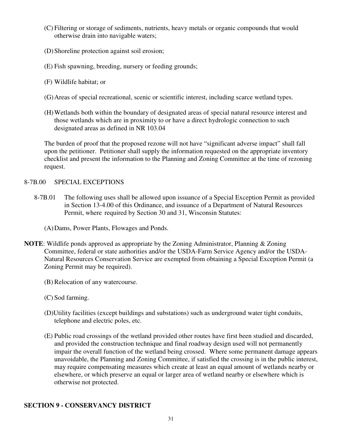- (C) Filtering or storage of sediments, nutrients, heavy metals or organic compounds that would otherwise drain into navigable waters;
- (D) Shoreline protection against soil erosion;
- (E) Fish spawning, breeding, nursery or feeding grounds;
- (F) Wildlife habitat; or
- (G) Areas of special recreational, scenic or scientific interest, including scarce wetland types.
- (H) Wetlands both within the boundary of designated areas of special natural resource interest and those wetlands which are in proximity to or have a direct hydrologic connection to such designated areas as defined in NR 103.04

The burden of proof that the proposed rezone will not have "significant adverse impact" shall fall upon the petitioner. Petitioner shall supply the information requested on the appropriate inventory checklist and present the information to the Planning and Zoning Committee at the time of rezoning request.

#### 8-7B.00 SPECIAL EXCEPTIONS

- 8-7B.01 The following uses shall be allowed upon issuance of a Special Exception Permit as provided in Section 13-4.00 of this Ordinance, and issuance of a Department of Natural Resources Permit, where required by Section 30 and 31, Wisconsin Statutes:
	- (A) Dams, Power Plants, Flowages and Ponds.
- **NOTE**: Wildlife ponds approved as appropriate by the Zoning Administrator, Planning & Zoning Committee, federal or state authorities and/or the USDA-Farm Service Agency and/or the USDA-Natural Resources Conservation Service are exempted from obtaining a Special Exception Permit (a Zoning Permit may be required).
	- (B) Relocation of any watercourse.
	- (C) Sod farming.
	- (D)Utility facilities (except buildings and substations) such as underground water tight conduits, telephone and electric poles, etc.
	- (E) Public road crossings of the wetland provided other routes have first been studied and discarded, and provided the construction technique and final roadway design used will not permanently impair the overall function of the wetland being crossed. Where some permanent damage appears unavoidable, the Planning and Zoning Committee, if satisfied the crossing is in the public interest, may require compensating measures which create at least an equal amount of wetlands nearby or elsewhere, or which preserve an equal or larger area of wetland nearby or elsewhere which is otherwise not protected.

# **SECTION 9 - CONSERVANCY DISTRICT**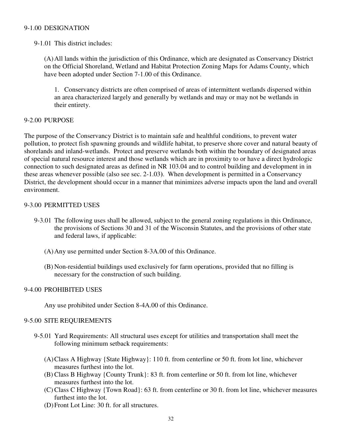#### 9-1.00 DESIGNATION

9-1.01 This district includes:

(A) All lands within the jurisdiction of this Ordinance, which are designated as Conservancy District on the Official Shoreland, Wetland and Habitat Protection Zoning Maps for Adams County, which have been adopted under Section 7-1.00 of this Ordinance.

 1. Conservancy districts are often comprised of areas of intermittent wetlands dispersed within an area characterized largely and generally by wetlands and may or may not be wetlands in their entirety.

#### 9-2.00 PURPOSE

The purpose of the Conservancy District is to maintain safe and healthful conditions, to prevent water pollution, to protect fish spawning grounds and wildlife habitat, to preserve shore cover and natural beauty of shorelands and inland-wetlands. Protect and preserve wetlands both within the boundary of designated areas of special natural resource interest and those wetlands which are in proximity to or have a direct hydrologic connection to such designated areas as defined in NR 103.04 and to control building and development in in these areas whenever possible (also see sec. 2-1.03**)**. When development is permitted in a Conservancy District, the development should occur in a manner that minimizes adverse impacts upon the land and overall environment.

#### 9-3.00 PERMITTED USES

- 9-3.01 The following uses shall be allowed, subject to the general zoning regulations in this Ordinance, the provisions of Sections 30 and 31 of the Wisconsin Statutes, and the provisions of other state and federal laws, if applicable:
	- (A) Any use permitted under Section 8-3A.00 of this Ordinance.
	- (B) Non-residential buildings used exclusively for farm operations, provided that no filling is necessary for the construction of such building.

#### 9-4.00 PROHIBITED USES

Any use prohibited under Section 8-4A.00 of this Ordinance.

#### 9-5.00 SITE REQUIREMENTS

- 9-5.01 Yard Requirements: All structural uses except for utilities and transportation shall meet the following minimum setback requirements:
	- (A) Class A Highway {State Highway}: 110 ft. from centerline or 50 ft. from lot line, whichever measures furthest into the lot.
	- (B) Class B Highway {County Trunk}: 83 ft. from centerline or 50 ft. from lot line, whichever measures furthest into the lot.
	- (C) Class C Highway {Town Road}: 63 ft. from centerline or 30 ft. from lot line, whichever measures furthest into the lot.
	- (D) Front Lot Line: 30 ft. for all structures.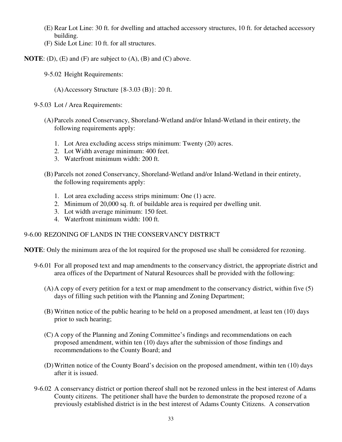- (E) Rear Lot Line: 30 ft. for dwelling and attached accessory structures, 10 ft. for detached accessory building.
- (F) Side Lot Line: 10 ft. for all structures.
- **NOTE:** (D), (E) and (F) are subject to (A), (B) and (C) above.
	- 9-5.02 Height Requirements:
		- (A) Accessory Structure {8-3.03 (B)}: 20 ft.
	- 9-5.03 Lot / Area Requirements:
		- (A) Parcels zoned Conservancy, Shoreland-Wetland and/or Inland-Wetland in their entirety, the following requirements apply:
			- 1. Lot Area excluding access strips minimum: Twenty (20) acres.
			- 2. Lot Width average minimum: 400 feet.
			- 3. Waterfront minimum width: 200 ft.
		- (B) Parcels not zoned Conservancy, Shoreland-Wetland and/or Inland-Wetland in their entirety, the following requirements apply:
			- 1. Lot area excluding access strips minimum: One (1) acre.
			- 2. Minimum of 20,000 sq. ft. of buildable area is required per dwelling unit.
			- 3. Lot width average minimum: 150 feet.
			- 4. Waterfront minimum width: 100 ft.

# 9-6.00 REZONING OF LANDS IN THE CONSERVANCY DISTRICT

**NOTE**: Only the minimum area of the lot required for the proposed use shall be considered for rezoning.

- 9-6.01 For all proposed text and map amendments to the conservancy district, the appropriate district and area offices of the Department of Natural Resources shall be provided with the following:
	- (A) A copy of every petition for a text or map amendment to the conservancy district, within five (5) days of filling such petition with the Planning and Zoning Department;
	- (B) Written notice of the public hearing to be held on a proposed amendment, at least ten (10) days prior to such hearing;
	- (C) A copy of the Planning and Zoning Committee's findings and recommendations on each proposed amendment, within ten (10) days after the submission of those findings and recommendations to the County Board; and
	- (D) Written notice of the County Board's decision on the proposed amendment, within ten (10) days after it is issued.
- 9-6.02 A conservancy district or portion thereof shall not be rezoned unless in the best interest of Adams County citizens. The petitioner shall have the burden to demonstrate the proposed rezone of a previously established district is in the best interest of Adams County Citizens. A conservation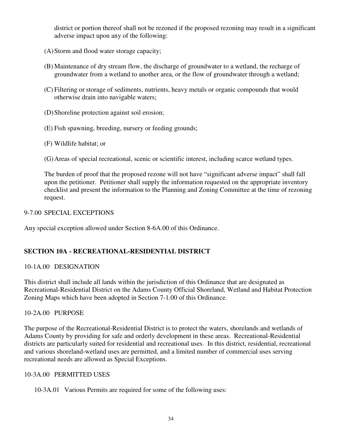district or portion thereof shall not be rezoned if the proposed rezoning may result in a significant adverse impact upon any of the following:

- (A) Storm and flood water storage capacity;
- (B) Maintenance of dry stream flow, the discharge of groundwater to a wetland, the recharge of groundwater from a wetland to another area, or the flow of groundwater through a wetland;
- (C) Filtering or storage of sediments, nutrients, heavy metals or organic compounds that would otherwise drain into navigable waters;
- (D) Shoreline protection against soil erosion;
- (E) Fish spawning, breeding, nursery or feeding grounds;
- (F) Wildlife habitat; or
- (G) Areas of special recreational, scenic or scientific interest, including scarce wetland types.

The burden of proof that the proposed rezone will not have "significant adverse impact" shall fall upon the petitioner. Petitioner shall supply the information requested on the appropriate inventory checklist and present the information to the Planning and Zoning Committee at the time of rezoning request.

# 9-7.00 SPECIAL EXCEPTIONS

Any special exception allowed under Section 8-6A.00 of this Ordinance.

# **SECTION 10A - RECREATIONAL-RESIDENTIAL DISTRICT**

# 10-1A.00 DESIGNATION

This district shall include all lands within the jurisdiction of this Ordinance that are designated as Recreational-Residential District on the Adams County Official Shoreland, Wetland and Habitat Protection Zoning Maps which have been adopted in Section 7-1.00 of this Ordinance.

# 10-2A.00 PURPOSE

The purpose of the Recreational-Residential District is to protect the waters, shorelands and wetlands of Adams County by providing for safe and orderly development in these areas. Recreational-Residential districts are particularly suited for residential and recreational uses. In this district, residential, recreational and various shoreland-wetland uses are permitted, and a limited number of commercial uses serving recreational needs are allowed as Special Exceptions.

# 10-3A.00 PERMITTED USES

10-3A.01 Various Permits are required for some of the following uses: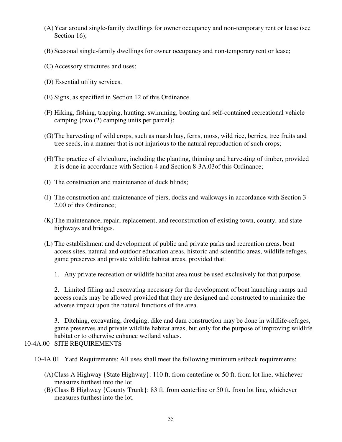- (A) Year around single-family dwellings for owner occupancy and non-temporary rent or lease (see Section 16):
- (B) Seasonal single-family dwellings for owner occupancy and non-temporary rent or lease;
- (C) Accessory structures and uses;
- (D) Essential utility services.
- (E) Signs, as specified in Section 12 of this Ordinance.
- (F) Hiking, fishing, trapping, hunting, swimming, boating and self-contained recreational vehicle camping {two (2) camping units per parcel};
- (G) The harvesting of wild crops, such as marsh hay, ferns, moss, wild rice, berries, tree fruits and tree seeds, in a manner that is not injurious to the natural reproduction of such crops;
- (H) The practice of silviculture, including the planting, thinning and harvesting of timber, provided it is done in accordance with Section 4 and Section 8-3A.03of this Ordinance;
- (I) The construction and maintenance of duck blinds;
- (J) The construction and maintenance of piers, docks and walkways in accordance with Section 3- 2.00 of this Ordinance;
- (K) The maintenance, repair, replacement, and reconstruction of existing town, county, and state highways and bridges.
- (L) The establishment and development of public and private parks and recreation areas, boat access sites, natural and outdoor education areas, historic and scientific areas, wildlife refuges, game preserves and private wildlife habitat areas, provided that:
	- 1. Any private recreation or wildlife habitat area must be used exclusively for that purpose.

 2. Limited filling and excavating necessary for the development of boat launching ramps and access roads may be allowed provided that they are designed and constructed to minimize the adverse impact upon the natural functions of the area.

 3. Ditching, excavating, dredging, dike and dam construction may be done in wildlife-refuges, game preserves and private wildlife habitat areas, but only for the purpose of improving wildlife habitat or to otherwise enhance wetland values.

# 10-4A.00 SITE REQUIREMENTS

- 10-4A.01 Yard Requirements: All uses shall meet the following minimum setback requirements:
	- (A) Class A Highway {State Highway}: 110 ft. from centerline or 50 ft. from lot line, whichever measures furthest into the lot.
	- (B) Class B Highway {County Trunk}: 83 ft. from centerline or 50 ft. from lot line, whichever measures furthest into the lot.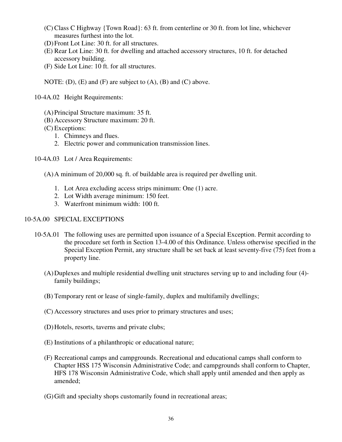- (C) Class C Highway {Town Road}: 63 ft. from centerline or 30 ft. from lot line, whichever measures furthest into the lot.
- (D) Front Lot Line: 30 ft. for all structures.
- (E) Rear Lot Line: 30 ft. for dwelling and attached accessory structures, 10 ft. for detached accessory building.
- (F) Side Lot Line: 10 ft. for all structures.
- NOTE: (D), (E) and (F) are subject to (A), (B) and (C) above.
- 10-4A.02 Height Requirements:
	- (A) Principal Structure maximum: 35 ft.
	- (B) Accessory Structure maximum: 20 ft.
	- (C) Exceptions:
		- 1. Chimneys and flues.
		- 2. Electric power and communication transmission lines.
- 10-4A.03 Lot / Area Requirements:
	- (A) A minimum of 20,000 sq. ft. of buildable area is required per dwelling unit.
		- 1. Lot Area excluding access strips minimum: One (1) acre.
		- 2. Lot Width average minimum: 150 feet.
		- 3. Waterfront minimum width: 100 ft.

## 10-5A.00 SPECIAL EXCEPTIONS

- 10-5A.01 The following uses are permitted upon issuance of a Special Exception. Permit according to the procedure set forth in Section 13-4.00 of this Ordinance. Unless otherwise specified in the Special Exception Permit, any structure shall be set back at least seventy-five (75) feet from a property line.
	- (A) Duplexes and multiple residential dwelling unit structures serving up to and including four (4) family buildings;
	- (B) Temporary rent or lease of single-family, duplex and multifamily dwellings;
	- (C) Accessory structures and uses prior to primary structures and uses;
	- (D) Hotels, resorts, taverns and private clubs;
	- (E) Institutions of a philanthropic or educational nature;
	- (F) Recreational camps and campgrounds. Recreational and educational camps shall conform to Chapter HSS 175 Wisconsin Administrative Code; and campgrounds shall conform to Chapter, HFS 178 Wisconsin Administrative Code, which shall apply until amended and then apply as amended;
	- (G) Gift and specialty shops customarily found in recreational areas;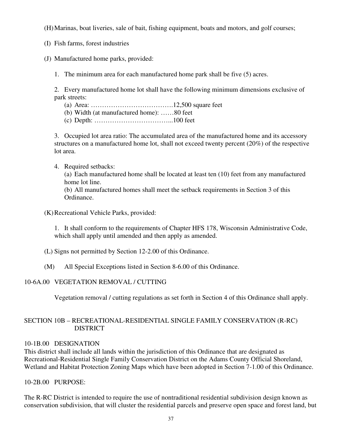(H) Marinas, boat liveries, sale of bait, fishing equipment, boats and motors, and golf courses;

- (I) Fish farms, forest industries
- (J) Manufactured home parks, provided:
	- 1. The minimum area for each manufactured home park shall be five (5) acres.

 2. Every manufactured home lot shall have the following minimum dimensions exclusive of park streets:

- (a) Area: ……………………………….12,500 square feet
- (b) Width (at manufactured home): ……80 feet
- (c) Depth: ……………………………...100 feet

 3. Occupied lot area ratio: The accumulated area of the manufactured home and its accessory structures on a manufactured home lot, shall not exceed twenty percent (20%) of the respective lot area.

4. Required setbacks:

 (a) Each manufactured home shall be located at least ten (10) feet from any manufactured home lot line.

 (b) All manufactured homes shall meet the setback requirements in Section 3 of this Ordinance.

(K) Recreational Vehicle Parks, provided:

 1. It shall conform to the requirements of Chapter HFS 178, Wisconsin Administrative Code, which shall apply until amended and then apply as amended.

- (L) Signs not permitted by Section 12-2.00 of this Ordinance.
- (M) All Special Exceptions listed in Section 8-6.00 of this Ordinance.

# 10-6A.00 VEGETATION REMOVAL / CUTTING

Vegetation removal / cutting regulations as set forth in Section 4 of this Ordinance shall apply.

# SECTION 10B – RECREATIONAL-RESIDENTIAL SINGLE FAMILY CONSERVATION (R-RC) DISTRICT

# 10-1B.00 DESIGNATION

This district shall include all lands within the jurisdiction of this Ordinance that are designated as Recreational-Residential Single Family Conservation District on the Adams County Official Shoreland, Wetland and Habitat Protection Zoning Maps which have been adopted in Section 7-1.00 of this Ordinance.

10-2B.00 PURPOSE:

The R-RC District is intended to require the use of nontraditional residential subdivision design known as conservation subdivision, that will cluster the residential parcels and preserve open space and forest land, but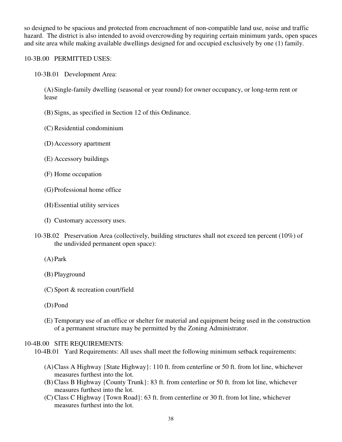so designed to be spacious and protected from encroachment of non-compatible land use, noise and traffic hazard. The district is also intended to avoid overcrowding by requiring certain minimum yards, open spaces and site area while making available dwellings designed for and occupied exclusively by one (1) family.

## 10-3B.00 PERMITTED USES:

10-3B.01 Development Area:

 (A) Single-family dwelling (seasonal or year round) for owner occupancy, or long-term rent or lease

(B) Signs, as specified in Section 12 of this Ordinance.

- (C) Residential condominium
- (D) Accessory apartment
- (E) Accessory buildings
- (F) Home occupation
- (G) Professional home office
- (H) Essential utility services
- (I) Customary accessory uses.
- 10-3B.02 Preservation Area (collectively, building structures shall not exceed ten percent (10%) of the undivided permanent open space):
	- (A) Park
	- (B) Playground
	- (C) Sport & recreation court/field
	- (D) Pond
	- (E) Temporary use of an office or shelter for material and equipment being used in the construction of a permanent structure may be permitted by the Zoning Administrator.

# 10-4B.00 SITE REQUIREMENTS:

10-4B.01 Yard Requirements: All uses shall meet the following minimum setback requirements:

- (A) Class A Highway {State Highway}: 110 ft. from centerline or 50 ft. from lot line, whichever measures furthest into the lot.
- (B) Class B Highway {County Trunk}: 83 ft. from centerline or 50 ft. from lot line, whichever measures furthest into the lot.
- (C) Class C Highway {Town Road}: 63 ft. from centerline or 30 ft. from lot line, whichever measures furthest into the lot.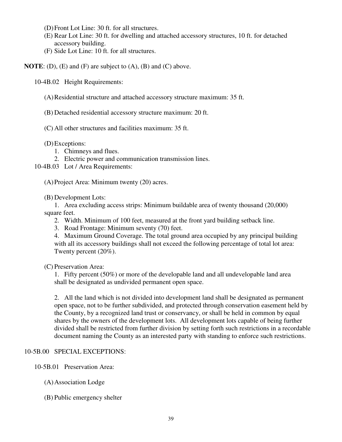- (D) Front Lot Line: 30 ft. for all structures.
- (E) Rear Lot Line: 30 ft. for dwelling and attached accessory structures, 10 ft. for detached accessory building.
- (F) Side Lot Line: 10 ft. for all structures.

**NOTE**: (D), (E) and (F) are subject to (A), (B) and (C) above.

10-4B.02 Height Requirements:

- (A) Residential structure and attached accessory structure maximum: 35 ft.
- (B) Detached residential accessory structure maximum: 20 ft.
- (C) All other structures and facilities maximum: 35 ft.

(D) Exceptions:

- 1. Chimneys and flues.
- 2. Electric power and communication transmission lines.
- 10-4B.03 Lot / Area Requirements:

(A) Project Area: Minimum twenty (20) acres.

(B) Development Lots:

 1. Area excluding access strips: Minimum buildable area of twenty thousand (20,000) square feet.

- 2. Width. Minimum of 100 feet, measured at the front yard building setback line.
- 3. Road Frontage: Minimum seventy (70) feet.

 4. Maximum Ground Coverage. The total ground area occupied by any principal building with all its accessory buildings shall not exceed the following percentage of total lot area: Twenty percent (20%).

(C) Preservation Area:

 1. Fifty percent (50%) or more of the developable land and all undevelopable land area shall be designated as undivided permanent open space.

 2. All the land which is not divided into development land shall be designated as permanent open space, not to be further subdivided, and protected through conservation easement held by the County, by a recognized land trust or conservancy, or shall be held in common by equal shares by the owners of the development lots. All development lots capable of being further divided shall be restricted from further division by setting forth such restrictions in a recordable document naming the County as an interested party with standing to enforce such restrictions.

# 10-5B.00 SPECIAL EXCEPTIONS:

- 10-5B.01 Preservation Area:
	- (A) Association Lodge
	- (B) Public emergency shelter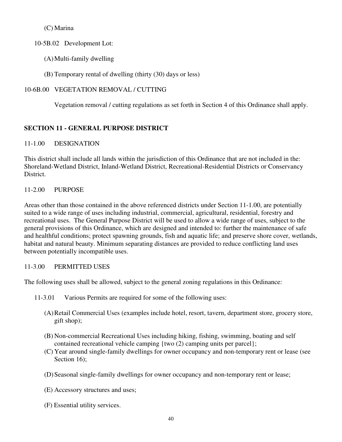(C) Marina

10-5B.02 Development Lot:

- (A) Multi-family dwelling
- (B) Temporary rental of dwelling (thirty (30) days or less)

# 10-6B.00 VEGETATION REMOVAL / CUTTING

Vegetation removal / cutting regulations as set forth in Section 4 of this Ordinance shall apply.

# **SECTION 11 - GENERAL PURPOSE DISTRICT**

# 11-1.00 DESIGNATION

This district shall include all lands within the jurisdiction of this Ordinance that are not included in the: Shoreland-Wetland District, Inland-Wetland District, Recreational-Residential Districts or Conservancy District.

# 11-2.00 PURPOSE

Areas other than those contained in the above referenced districts under Section 11-1.00, are potentially suited to a wide range of uses including industrial, commercial, agricultural, residential, forestry and recreational uses. The General Purpose District will be used to allow a wide range of uses, subject to the general provisions of this Ordinance, which are designed and intended to: further the maintenance of safe and healthful conditions; protect spawning grounds, fish and aquatic life; and preserve shore cover, wetlands, habitat and natural beauty. Minimum separating distances are provided to reduce conflicting land uses between potentially incompatible uses.

# 11-3.00 PERMITTED USES

The following uses shall be allowed, subject to the general zoning regulations in this Ordinance:

- 11-3.01 Various Permits are required for some of the following uses:
	- (A) Retail Commercial Uses (examples include hotel, resort, tavern, department store, grocery store, gift shop);
	- (B) Non-commercial Recreational Uses including hiking, fishing, swimming, boating and self contained recreational vehicle camping {two (2) camping units per parcel};
	- (C) Year around single-family dwellings for owner occupancy and non-temporary rent or lease (see Section 16);
	- (D) Seasonal single-family dwellings for owner occupancy and non-temporary rent or lease;
	- (E) Accessory structures and uses;
	- (F) Essential utility services.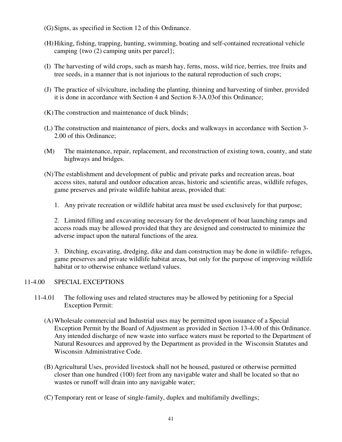- (G) Signs, as specified in Section 12 of this Ordinance.
- (H) Hiking, fishing, trapping, hunting, swimming, boating and self-contained recreational vehicle camping {two (2) camping units per parcel};
- (I) The harvesting of wild crops, such as marsh hay, ferns, moss, wild rice, berries, tree fruits and tree seeds, in a manner that is not injurious to the natural reproduction of such crops;
- (J) The practice of silviculture, including the planting, thinning and harvesting of timber, provided it is done in accordance with Section 4 and Section 8-3A.03of this Ordinance;
- (K) The construction and maintenance of duck blinds;
- (L) The construction and maintenance of piers, docks and walkways in accordance with Section 3- 2.00 of this Ordinance;
- (M) The maintenance, repair, replacement, and reconstruction of existing town, county, and state highways and bridges.
- (N) The establishment and development of public and private parks and recreation areas, boat access sites, natural and outdoor education areas, historic and scientific areas, wildlife refuges, game preserves and private wildlife habitat areas, provided that:
	- 1. Any private recreation or wildlife habitat area must be used exclusively for that purpose;

 2. Limited filling and excavating necessary for the development of boat launching ramps and access roads may be allowed provided that they are designed and constructed to minimize the adverse impact upon the natural functions of the area.

 3. Ditching, excavating, dredging, dike and dam construction may be done in wildlife- refuges, game preserves and private wildlife habitat areas, but only for the purpose of improving wildlife habitat or to otherwise enhance wetland values.

# 11-4.00 SPECIAL EXCEPTIONS

- 11-4.01 The following uses and related structures may be allowed by petitioning for a Special Exception Permit:
	- (A) Wholesale commercial and Industrial uses may be permitted upon issuance of a Special Exception Permit by the Board of Adjustment as provided in Section 13-4.00 of this Ordinance. Any intended discharge of new waste into surface waters must be reported to the Department of Natural Resources and approved by the Department as provided in the Wisconsin Statutes and Wisconsin Administrative Code.
	- (B) Agricultural Uses, provided livestock shall not be housed, pastured or otherwise permitted closer than one hundred (100) feet from any navigable water and shall be located so that no wastes or runoff will drain into any navigable water;
	- (C) Temporary rent or lease of single-family, duplex and multifamily dwellings;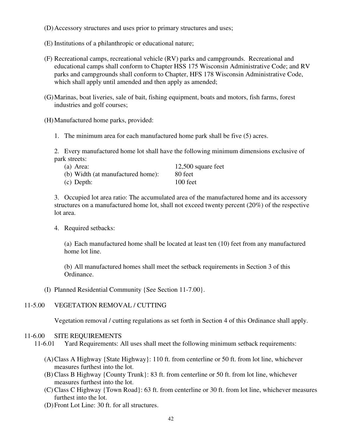- (D) Accessory structures and uses prior to primary structures and uses;
- (E) Institutions of a philanthropic or educational nature;
- (F) Recreational camps, recreational vehicle (RV) parks and campgrounds. Recreational and educational camps shall conform to Chapter HSS 175 Wisconsin Administrative Code; and RV parks and campgrounds shall conform to Chapter, HFS 178 Wisconsin Administrative Code, which shall apply until amended and then apply as amended;
- (G) Marinas, boat liveries, sale of bait, fishing equipment, boats and motors, fish farms, forest industries and golf courses;
- (H) Manufactured home parks, provided:
	- 1. The minimum area for each manufactured home park shall be five (5) acres.

 2. Every manufactured home lot shall have the following minimum dimensions exclusive of park streets:

| (a) Area:                         | $12,500$ square feet |
|-----------------------------------|----------------------|
| (b) Width (at manufactured home): | 80 feet              |
| $(c)$ Depth:                      | 100 feet             |

 3. Occupied lot area ratio: The accumulated area of the manufactured home and its accessory structures on a manufactured home lot, shall not exceed twenty percent (20%) of the respective lot area.

4. Required setbacks:

 (a) Each manufactured home shall be located at least ten (10) feet from any manufactured home lot line.

 (b) All manufactured homes shall meet the setback requirements in Section 3 of this Ordinance.

(I) Planned Residential Community {See Section 11-7.00}.

#### 11-5.00 VEGETATION REMOVAL / CUTTING

Vegetation removal / cutting regulations as set forth in Section 4 of this Ordinance shall apply.

#### 11-6.00 SITE REQUIREMENTS

11-6.01 Yard Requirements: All uses shall meet the following minimum setback requirements:

- (A) Class A Highway {State Highway}: 110 ft. from centerline or 50 ft. from lot line, whichever measures furthest into the lot.
- (B) Class B Highway {County Trunk}: 83 ft. from centerline or 50 ft. from lot line, whichever measures furthest into the lot.
- (C) Class C Highway {Town Road}: 63 ft. from centerline or 30 ft. from lot line, whichever measures furthest into the lot.
- (D) Front Lot Line: 30 ft. for all structures.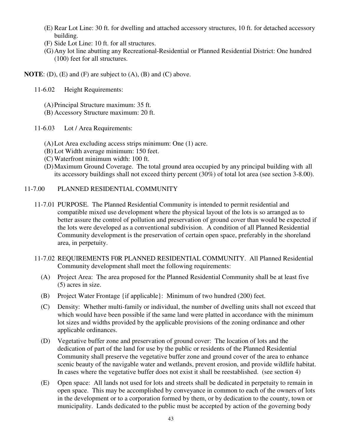- (E) Rear Lot Line: 30 ft. for dwelling and attached accessory structures, 10 ft. for detached accessory building.
- (F) Side Lot Line: 10 ft. for all structures.
- (G) Any lot line abutting any Recreational-Residential or Planned Residential District: One hundred (100) feet for all structures.
- **NOTE:** (D), (E) and (F) are subject to (A), (B) and (C) above.
	- 11-6.02 Height Requirements:
		- (A) Principal Structure maximum: 35 ft.
		- (B) Accessory Structure maximum: 20 ft.
	- 11-6.03 Lot / Area Requirements:
		- (A) Lot Area excluding access strips minimum: One (1) acre.
		- (B) Lot Width average minimum: 150 feet.
		- (C) Waterfront minimum width: 100 ft.
		- (D) Maximum Ground Coverage. The total ground area occupied by any principal building with all its accessory buildings shall not exceed thirty percent (30%) of total lot area (see section 3-8.00).

## 11-7.00 PLANNED RESIDENTIAL COMMUNITY

- 11-7.01 PURPOSE. The Planned Residential Community is intended to permit residential and compatible mixed use development where the physical layout of the lots is so arranged as to better assure the control of pollution and preservation of ground cover than would be expected if the lots were developed as a conventional subdivision. A condition of all Planned Residential Community development is the preservation of certain open space, preferably in the shoreland area, in perpetuity.
- 11-7.02 REQUIREMENTS F0R PLANNED RESIDENTIAL COMMUNITY. All Planned Residential Community development shall meet the following requirements:
	- (A) Project Area: The area proposed for the Planned Residential Community shall be at least five (5) acres in size.
	- (B) Project Water Frontage {if applicable}: Minimum of two hundred (200) feet.
	- (C) Density: Whether multi-family or individual, the number of dwelling units shall not exceed that which would have been possible if the same land were platted in accordance with the minimum lot sizes and widths provided by the applicable provisions of the zoning ordinance and other applicable ordinances.
	- (D) Vegetative buffer zone and preservation of ground cover: The location of lots and the dedication of part of the land for use by the public or residents of the Planned Residential Community shall preserve the vegetative buffer zone and ground cover of the area to enhance scenic beauty of the navigable water and wetlands, prevent erosion, and provide wildlife habitat. In cases where the vegetative buffer does not exist it shall be reestablished. (see section 4)
	- (E) Open space: All lands not used for lots and streets shall be dedicated in perpetuity to remain in open space. This may be accomplished by conveyance in common to each of the owners of lots in the development or to a corporation formed by them, or by dedication to the county, town or municipality. Lands dedicated to the public must be accepted by action of the governing body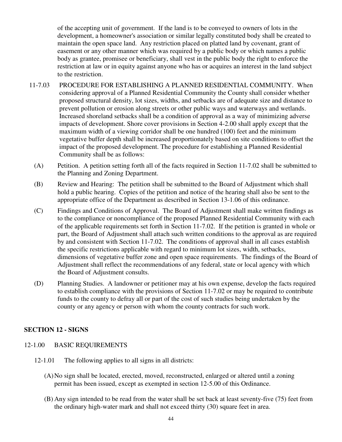of the accepting unit of government. If the land is to be conveyed to owners of lots in the development, a homeowner's association or similar legally constituted body shall be created to maintain the open space land. Any restriction placed on platted land by covenant, grant of easement or any other manner which was required by a public body or which names a public body as grantee, promisee or beneficiary, shall vest in the public body the right to enforce the restriction at law or in equity against anyone who has or acquires an interest in the land subject to the restriction.

- 11-7.03 PROCEDURE FOR ESTABLISHING A PLANNED RESIDENTIAL COMMUNITY. When considering approval of a Planned Residential Community the County shall consider whether proposed structural density, lot sizes, widths, and setbacks are of adequate size and distance to prevent pollution or erosion along streets or other public ways and waterways and wetlands. Increased shoreland setbacks shall be a condition of approval as a way of minimizing adverse impacts of development. Shore cover provisions in Section 4-2.00 shall apply except that the maximum width of a viewing corridor shall be one hundred (100) feet and the minimum vegetative buffer depth shall be increased proportionately based on site conditions to offset the impact of the proposed development. The procedure for establishing a Planned Residential Community shall be as follows:
	- (A) Petition. A petition setting forth all of the facts required in Section 11-7.02 shall be submitted to the Planning and Zoning Department.
	- (B) Review and Hearing: The petition shall be submitted to the Board of Adjustment which shall hold a public hearing. Copies of the petition and notice of the hearing shall also be sent to the appropriate office of the Department as described in Section 13-1.06 of this ordinance.
	- (C) Findings and Conditions of Approval. The Board of Adjustment shall make written findings as to the compliance or noncompliance of the proposed Planned Residential Community with each of the applicable requirements set forth in Section 11-7.02. If the petition is granted in whole or part, the Board of Adjustment shall attach such written conditions to the approval as are required by and consistent with Section 11-7.02. The conditions of approval shall in all cases establish the specific restrictions applicable with regard to minimum lot sizes, width, setbacks, dimensions of vegetative buffer zone and open space requirements. The findings of the Board of Adjustment shall reflect the recommendations of any federal, state or local agency with which the Board of Adjustment consults.
	- (D) Planning Studies. A landowner or petitioner may at his own expense, develop the facts required to establish compliance with the provisions of Section 11-7.02 or may be required to contribute funds to the county to defray all or part of the cost of such studies being undertaken by the county or any agency or person with whom the county contracts for such work.

# **SECTION 12 - SIGNS**

- 12-1.00 BASIC REQUIREMENTS
	- 12-1.01 The following applies to all signs in all districts:
		- (A) No sign shall be located, erected, moved, reconstructed, enlarged or altered until a zoning permit has been issued, except as exempted in section 12-5.00 of this Ordinance.
		- (B) Any sign intended to be read from the water shall be set back at least seventy-five (75) feet from the ordinary high-water mark and shall not exceed thirty (30) square feet in area.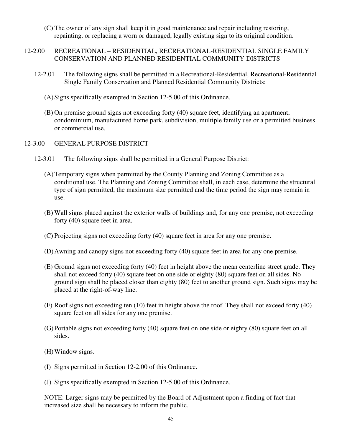- (C) The owner of any sign shall keep it in good maintenance and repair including restoring, repainting, or replacing a worn or damaged, legally existing sign to its original condition.
- 12-2.00 RECREATIONAL RESIDENTIAL, RECREATIONAL-RESIDENTIAL SINGLE FAMILY CONSERVATION AND PLANNED RESIDENTIAL COMMUNITY DISTRICTS
	- 12-2.01 The following signs shall be permitted in a Recreational-Residential, Recreational-Residential Single Family Conservation and Planned Residential Community Districts:
		- (A) Signs specifically exempted in Section 12-5.00 of this Ordinance.
		- (B) On premise ground signs not exceeding forty (40) square feet, identifying an apartment, condominium, manufactured home park, subdivision, multiple family use or a permitted business or commercial use.
- 12-3.00 GENERAL PURPOSE DISTRICT
	- 12-3.01 The following signs shall be permitted in a General Purpose District:
		- (A) Temporary signs when permitted by the County Planning and Zoning Committee as a conditional use. The Planning and Zoning Committee shall, in each case, determine the structural type of sign permitted, the maximum size permitted and the time period the sign may remain in use.
		- (B) Wall signs placed against the exterior walls of buildings and, for any one premise, not exceeding forty (40) square feet in area.
		- (C) Projecting signs not exceeding forty (40) square feet in area for any one premise.
		- (D) Awning and canopy signs not exceeding forty (40) square feet in area for any one premise.
		- (E) Ground signs not exceeding forty (40) feet in height above the mean centerline street grade. They shall not exceed forty (40) square feet on one side or eighty (80) square feet on all sides. No ground sign shall be placed closer than eighty (80) feet to another ground sign. Such signs may be placed at the right-of-way line.
		- (F) Roof signs not exceeding ten (10) feet in height above the roof. They shall not exceed forty (40) square feet on all sides for any one premise.
		- (G) Portable signs not exceeding forty (40) square feet on one side or eighty (80) square feet on all sides.
		- (H) Window signs.
		- (I) Signs permitted in Section 12-2.00 of this Ordinance.
		- (J) Signs specifically exempted in Section 12-5.00 of this Ordinance.

NOTE: Larger signs may be permitted by the Board of Adjustment upon a finding of fact that increased size shall be necessary to inform the public.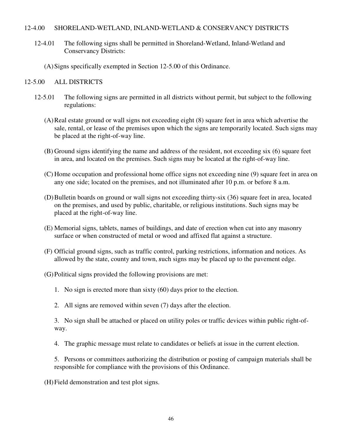#### 12-4.00 SHORELAND-WETLAND, INLAND-WETLAND & CONSERVANCY DISTRICTS

- 12-4.01 The following signs shall be permitted in Shoreland-Wetland, Inland-Wetland and Conservancy Districts:
	- (A) Signs specifically exempted in Section 12-5.00 of this Ordinance.

## 12-5.00 ALL DISTRICTS

- 12-5.01 The following signs are permitted in all districts without permit, but subject to the following regulations:
	- (A) Real estate ground or wall signs not exceeding eight (8) square feet in area which advertise the sale, rental, or lease of the premises upon which the signs are temporarily located. Such signs may be placed at the right-of-way line.
	- (B) Ground signs identifying the name and address of the resident, not exceeding six (6) square feet in area, and located on the premises. Such signs may be located at the right-of-way line.
	- (C) Home occupation and professional home office signs not exceeding nine (9) square feet in area on any one side; located on the premises, and not illuminated after 10 p.m. or before 8 a.m.
	- (D) Bulletin boards on ground or wall signs not exceeding thirty-six (36) square feet in area, located on the premises, and used by public, charitable, or religious institutions. Such signs may be placed at the right-of-way line.
	- (E) Memorial signs, tablets, names of buildings, and date of erection when cut into any masonry surface or when constructed of metal or wood and affixed flat against a structure.
	- (F) Official ground signs, such as traffic control, parking restrictions, information and notices. As allowed by the state, county and town, *s*uch signs may be placed up to the pavement edge.
	- (G) Political signs provided the following provisions are met:
		- 1. No sign is erected more than sixty (60) days prior to the election.
		- 2. All signs are removed within seven (7) days after the election.

 3. No sign shall be attached or placed on utility poles or traffic devices within public right-of way.

- 4. The graphic message must relate to candidates or beliefs at issue in the current election.
- 5. Persons or committees authorizing the distribution or posting of campaign materials shall be responsible for compliance with the provisions of this Ordinance.

(H) Field demonstration and test plot signs.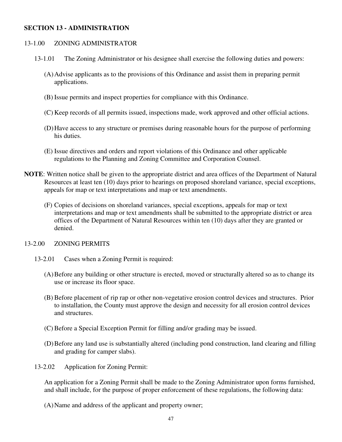#### **SECTION 13 - ADMINISTRATION**

#### 13-1.00 ZONING ADMINISTRATOR

- 13-1.01 The Zoning Administrator or his designee shall exercise the following duties and powers:
	- (A) Advise applicants as to the provisions of this Ordinance and assist them in preparing permit applications.
	- (B) Issue permits and inspect properties for compliance with this Ordinance.
	- (C) Keep records of all permits issued, inspections made, work approved and other official actions.
	- (D) Have access to any structure or premises during reasonable hours for the purpose of performing his duties.
	- (E) Issue directives and orders and report violations of this Ordinance and other applicable regulations to the Planning and Zoning Committee and Corporation Counsel.
- **NOTE**: Written notice shall be given to the appropriate district and area offices of the Department of Natural Resources at least ten (10) days prior to hearings on proposed shoreland variance, special exceptions, appeals for map or text interpretations and map or text amendments.
	- (F) Copies of decisions on shoreland variances, special exceptions, appeals for map or text interpretations and map or text amendments shall be submitted to the appropriate district or area offices of the Department of Natural Resources within ten (10) days after they are granted or denied.

#### 13-2.00 ZONING PERMITS

- 13-2.01 Cases when a Zoning Permit is required:
	- (A) Before any building or other structure is erected, moved or structurally altered so as to change its use or increase its floor space.
	- (B) Before placement of rip rap or other non-vegetative erosion control devices and structures. Prior to installation, the County must approve the design and necessity for all erosion control devices and structures.
	- (C) Before a Special Exception Permit for filling and/or grading may be issued.
	- (D) Before any land use is substantially altered (including pond construction, land clearing and filling and grading for camper slabs).
- 13-2.02 Application for Zoning Permit:

An application for a Zoning Permit shall be made to the Zoning Administrator upon forms furnished, and shall include, for the purpose of proper enforcement of these regulations, the following data:

(A) Name and address of the applicant and property owner;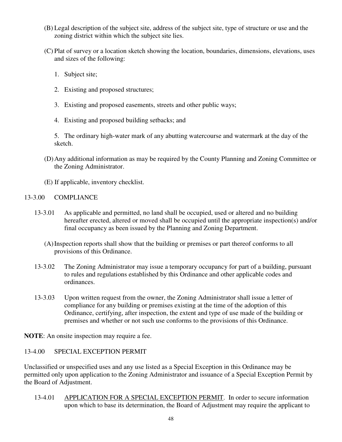- (B) Legal description of the subject site, address of the subject site, type of structure or use and the zoning district within which the subject site lies.
- (C) Plat of survey or a location sketch showing the location, boundaries, dimensions, elevations, uses and sizes of the following:
	- 1. Subject site;
	- 2. Existing and proposed structures;
	- 3. Existing and proposed easements, streets and other public ways;
	- 4. Existing and proposed building setbacks; and

 5. The ordinary high-water mark of any abutting watercourse and watermark at the day of the sketch.

- (D) Any additional information as may be required by the County Planning and Zoning Committee or the Zoning Administrator.
- (E) If applicable, inventory checklist.

#### 13-3.00 COMPLIANCE

- 13-3.01 As applicable and permitted, no land shall be occupied, used or altered and no building hereafter erected, altered or moved shall be occupied until the appropriate inspection(s) and/or final occupancy as been issued by the Planning and Zoning Department.
	- (A) Inspection reports shall show that the building or premises or part thereof conforms to all provisions of this Ordinance.
- 13-3.02 The Zoning Administrator may issue a temporary occupancy for part of a building, pursuant to rules and regulations established by this Ordinance and other applicable codes and ordinances.
- 13-3.03 Upon written request from the owner, the Zoning Administrator shall issue a letter of compliance for any building or premises existing at the time of the adoption of this Ordinance, certifying, after inspection, the extent and type of use made of the building or premises and whether or not such use conforms to the provisions of this Ordinance.

**NOTE**: An onsite inspection may require a fee.

## 13-4.00 SPECIAL EXCEPTION PERMIT

Unclassified or unspecified uses and any use listed as a Special Exception in this Ordinance may be permitted only upon application to the Zoning Administrator and issuance of a Special Exception Permit by the Board of Adjustment.

 13-4.01 APPLICATION FOR A SPECIAL EXCEPTION PERMIT. In order to secure information upon which to base its determination, the Board of Adjustment may require the applicant to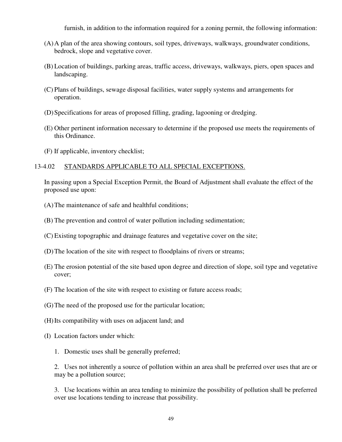furnish, in addition to the information required for a zoning permit, the following information:

- (A) A plan of the area showing contours, soil types, driveways, walkways, groundwater conditions, bedrock, slope and vegetative cover.
- (B) Location of buildings, parking areas, traffic access, driveways, walkways, piers, open spaces and landscaping.
- (C) Plans of buildings, sewage disposal facilities, water supply systems and arrangements for operation.
- (D) Specifications for areas of proposed filling, grading, lagooning or dredging.
- (E) Other pertinent information necessary to determine if the proposed use meets the requirements of this Ordinance.
- (F) If applicable, inventory checklist;

## 13-4.02 STANDARDS APPLICABLE TO ALL SPECIAL EXCEPTIONS.

In passing upon a Special Exception Permit, the Board of Adjustment shall evaluate the effect of the proposed use upon:

- (A) The maintenance of safe and healthful conditions;
- (B) The prevention and control of water pollution including sedimentation;
- (C) Existing topographic and drainage features and vegetative cover on the site;
- (D) The location of the site with respect to floodplains of rivers or streams;
- (E) The erosion potential of the site based upon degree and direction of slope, soil type and vegetative cover;
- (F) The location of the site with respect to existing or future access roads;
- (G) The need of the proposed use for the particular location;
- (H) Its compatibility with uses on adjacent land; and
- (I) Location factors under which:
	- 1. Domestic uses shall be generally preferred;

2. Uses not inherently a source of pollution within an area shall be preferred over uses that are or may be a pollution source;

3. Use locations within an area tending to minimize the possibility of pollution shall be preferred over use locations tending to increase that possibility.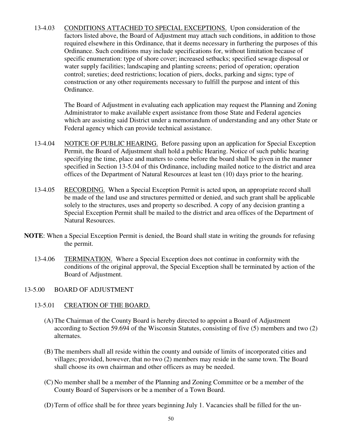13-4.03 CONDITIONS ATTACHED TO SPECIAL EXCEPTIONS. Upon consideration of the factors listed above, the Board of Adjustment may attach such conditions, in addition to those required elsewhere in this Ordinance, that it deems necessary in furthering the purposes of this Ordinance. Such conditions may include specifications for, without limitation because of specific enumeration: type of shore cover; increased setbacks; specified sewage disposal or water supply facilities; landscaping and planting screens; period of operation; operation control; sureties; deed restrictions; location of piers, docks, parking and signs; type of construction or any other requirements necessary to fulfill the purpose and intent of this Ordinance.

> The Board of Adjustment in evaluating each application may request the Planning and Zoning Administrator to make available expert assistance from those State and Federal agencies which are assisting said District under a memorandum of understanding and any other State or Federal agency which can provide technical assistance.

- 13-4.04 NOTICE OF PUBLIC HEARING. Before passing upon an application for Special Exception Permit, the Board of Adjustment shall hold a public Hearing. Notice of such public hearing specifying the time, place and matters to come before the board shall be given in the manner specified in Section 13-5.04 of this Ordinance, including mailed notice to the district and area offices of the Department of Natural Resources at least ten (10) days prior to the hearing.
- 13-4.05 RECORDING. When a Special Exception Permit is acted upon*,* an appropriate record shall be made of the land use and structures permitted or denied, and such grant shall be applicable solely to the structures, uses and property so described. A copy of any decision granting a Special Exception Permit shall be mailed to the district and area offices of the Department of Natural Resources.
- **NOTE**: When a Special Exception Permit is denied, the Board shall state in writing the grounds for refusing the permit.
	- 13-4.06 TERMINATION. Where a Special Exception does not continue in conformity with the conditions of the original approval, the Special Exception shall be terminated by action of the Board of Adjustment.

#### 13-5.00 BOARD OF ADJUSTMENT

#### 13-5.01 CREATION OF THE BOARD.

- (A)The Chairman of the County Board is hereby directed to appoint a Board of Adjustment according to Section 59.694 of the Wisconsin Statutes, consisting of five (5) members and two (2) alternates.
- (B) The members shall all reside within the county and outside of limits of incorporated cities and villages; provided, however, that no two (2) members may reside in the same town. The Board shall choose its own chairman and other officers as may be needed.
- (C) No member shall be a member of the Planning and Zoning Committee or be a member of the County Board of Supervisors or be a member of a Town Board.
- (D)Term of office shall be for three years beginning July 1. Vacancies shall be filled for the un-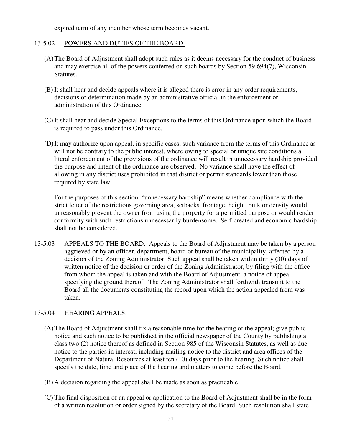expired term of any member whose term becomes vacant.

#### 13-5.02 POWERS AND DUTIES OF THE BOARD.

- (A) The Board of Adjustment shall adopt such rules as it deems necessary for the conduct of business and may exercise all of the powers conferred on such boards by Section 59.694(7), Wisconsin Statutes.
- (B) It shall hear and decide appeals where it is alleged there is error in any order requirements, decisions or determination made by an administrative official in the enforcement or administration of this Ordinance.
- (C) It shall hear and decide Special Exceptions to the terms of this Ordinance upon which the Board is required to pass under this Ordinance.
- (D) It may authorize upon appeal, in specific cases, such variance from the terms of this Ordinance as will not be contrary to the public interest, where owing to special or unique site conditions a literal enforcement of the provisions of the ordinance will result in unnecessary hardship provided the purpose and intent of the ordinance are observed. No variance shall have the effect of allowing in any district uses prohibited in that district or permit standards lower than those required by state law.

For the purposes of this section, "unnecessary hardship" means whether compliance with the strict letter of the restrictions governing area, setbacks, frontage, height, bulk or density would unreasonably prevent the owner from using the property for a permitted purpose or would render conformity with such restrictions unnecessarily burdensome. Self-created and economic hardship shall not be considered.

 13-5.03 APPEALS TO THE BOARD. Appeals to the Board of Adjustment may be taken by a person aggrieved or by an officer, department, board or bureau of the municipality, affected by a decision of the Zoning Administrator. Such appeal shall be taken within thirty (30) days of written notice of the decision or order of the Zoning Administrator, by filing with the office from whom the appeal is taken and with the Board of Adjustment, a notice of appeal specifying the ground thereof. The Zoning Administrator shall forthwith transmit to the Board all the documents constituting the record upon which the action appealed from was taken.

#### 13-5.04 HEARING APPEALS.

- (A) The Board of Adjustment shall fix a reasonable time for the hearing of the appeal; give public notice and such notice to be published in the official newspaper of the County by publishing a class two (2) notice thereof as defined in Section 985 of the Wisconsin Statutes, as well as due notice to the parties in interest, including mailing notice to the district and area offices of the Department of Natural Resources at least ten (10) days prior to the hearing. Such notice shall specify the date, time and place of the hearing and matters to come before the Board.
- (B) A decision regarding the appeal shall be made as soon as practicable.
- (C) The final disposition of an appeal or application to the Board of Adjustment shall be in the form of a written resolution or order signed by the secretary of the Board. Such resolution shall state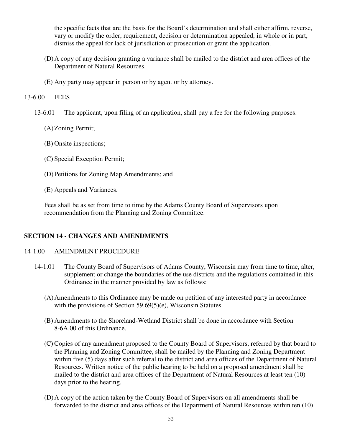the specific facts that are the basis for the Board's determination and shall either affirm, reverse, vary or modify the order, requirement, decision or determination appealed, in whole or in part, dismiss the appeal for lack of jurisdiction or prosecution or grant the application.

- (D) A copy of any decision granting a variance shall be mailed to the district and area offices of the Department of Natural Resources.
- (E) Any party may appear in person or by agent or by attorney.

#### 13-6.00 FEES

- 13-6.01 The applicant, upon filing of an application, shall pay a fee for the following purposes:
	- (A) Zoning Permit;
	- (B) Onsite inspections;
	- (C) Special Exception Permit;
	- (D) Petitions for Zoning Map Amendments; and
	- (E) Appeals and Variances.

Fees shall be as set from time to time by the Adams County Board of Supervisors upon recommendation from the Planning and Zoning Committee.

# **SECTION 14 - CHANGES AND AMENDMENTS**

#### 14-1.00 AMENDMENT PROCEDURE

- 14-1.01 The County Board of Supervisors of Adams County, Wisconsin may from time to time, alter, supplement or change the boundaries of the use districts and the regulations contained in this Ordinance in the manner provided by law as follows:
	- (A) Amendments to this Ordinance may be made on petition of any interested party in accordance with the provisions of Section 59.69(5)(e), Wisconsin Statutes.
	- (B) Amendments to the Shoreland-Wetland District shall be done in accordance with Section 8-6A.00 of this Ordinance.
	- (C) Copies of any amendment proposed to the County Board of Supervisors, referred by that board to the Planning and Zoning Committee, shall be mailed by the Planning and Zoning Department within five (5) days after such referral to the district and area offices of the Department of Natural Resources. Written notice of the public hearing to be held on a proposed amendment shall be mailed to the district and area offices of the Department of Natural Resources at least ten (10) days prior to the hearing.
	- (D) A copy of the action taken by the County Board of Supervisors on all amendments shall be forwarded to the district and area offices of the Department of Natural Resources within ten (10)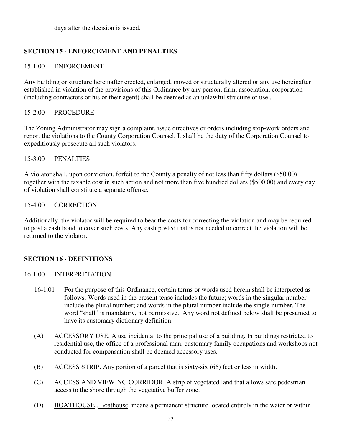days after the decision is issued.

# **SECTION 15 - ENFORCEMENT AND PENALTIES**

# 15-1.00 ENFORCEMENT

Any building or structure hereinafter erected, enlarged, moved or structurally altered or any use hereinafter established in violation of the provisions of this Ordinance by any person, firm, association, corporation (including contractors or his or their agent) shall be deemed as an unlawful structure or use..

# 15-2.00 PROCEDURE

The Zoning Administrator may sign a complaint, issue directives or orders including stop-work orders and report the violations to the County Corporation Counsel. It shall be the duty of the Corporation Counsel to expeditiously prosecute all such violators.

# 15-3.00 PENALTIES

A violator shall, upon conviction, forfeit to the County a penalty of not less than fifty dollars (\$50.00) together with the taxable cost in such action and not more than five hundred dollars (\$500.00) and every day of violation shall constitute a separate offense.

# 15-4.00 CORRECTION

Additionally, the violator will be required to bear the costs for correcting the violation and may be required to post a cash bond to cover such costs. Any cash posted that is not needed to correct the violation will be returned to the violator.

# **SECTION 16 - DEFINITIONS**

# 16-1.00 INTERPRETATION

- 16-1.01 For the purpose of this Ordinance, certain terms or words used herein shall be interpreted as follows: Words used in the present tense includes the future; words in the singular number include the plural number; and words in the plural number include the single number. The word "shall" is mandatory, not permissive. Any word not defined below shall be presumed to have its customary dictionary definition.
- (A) ACCESSORY USE. A use incidental to the principal use of a building. In buildings restricted to residential use, the office of a professional man, customary family occupations and workshops not conducted for compensation shall be deemed accessory uses.
- (B) ACCESS STRIP. Any portion of a parcel that is sixty-six (66) feet or less in width.
- (C) ACCESS AND VIEWING CORRIDOR. A strip of vegetated land that allows safe pedestrian access to the shore through the vegetative buffer zone.
- (D) BOATHOUSE.. Boathouse means a permanent structure located entirely in the water or within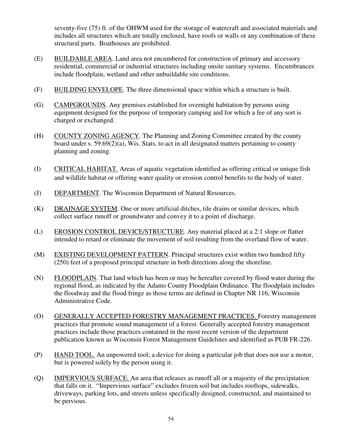seventy-five (75) ft. of the OHWM used for the storage of watercraft and associated materials and includes all structures which are totally enclosed, have roofs or walls or any combination of these structural parts. Boathouses are prohibited.

- (E) BUILDABLE AREA. Land area not encumbered for construction of primary and accessory residential, commercial or industrial structures including onsite sanitary systems. Encumbrances include floodplain, wetland and other unbuildable site conditions.
- (F) BUILDING ENVELOPE. The three dimensional space within which a structure is built.
- (G) CAMPGROUNDS. Any premises established for overnight habitation by persons using equipment designed for the purpose of temporary camping and for which a fee of any sort is charged or exchanged.
- (H) COUNTY ZONING AGENCY. The Planning and Zoning Committee created by the county board under s. 59.69(2)(a), Wis. Stats, to act in all designated matters pertaining to county planning and zoning.
- (I) CRITICAL HABITAT. Areas of aquatic vegetation identified as offering critical or unique fish and wildlife habitat or offering water quality or erosion control benefits to the body of water.
- (J) DEPARTMENT. The Wisconsin Department of Natural Resources.
- (K) DRAINAGE SYSTEM. One or more artificial ditches, tile drains or similar devices, which collect surface runoff or groundwater and convey it to a point of discharge.
- (L) EROSION CONTROL DEVICE/STRUCTURE. Any material placed at a 2:1 slope or flatter intended to retard or eliminate the movement of soil resulting from the overland flow of water.
- (M) EXISTING DEVELOPMENT PATTERN. Principal structures exist within two hundred fifty (250) feet of a proposed principal structure in both directions along the shoreline.
- (N) FLOODPLAIN. That land which has been or may be hereafter covered by flood water during the regional flood, as indicated by the Adams County Floodplain Ordinance. The floodplain includes the floodway and the flood fringe as those terms are defined in Chapter NR 116, Wisconsin Administrative Code.
- (O) GENERALLY ACCEPTED FORESTRY MANAGEMENT PRACTICES. Forestry management practices that promote sound management of a forest. Generally accepted forestry management practices include those practices contained in the most recent version of the department publication known as Wisconsin Forest Management Guidelines and identified as PUB FR-226.
- (P) HAND TOOL. An unpowered tool; a device for doing a particular job that does not use a motor, but is powered solely by the person using it.
- (Q) IMPERVIOUS SURFACE. An area that releases as runoff all or a majority of the precipitation that falls on it. "Impervious surface" excludes frozen soil but includes rooftops, sidewalks, driveways, parking lots, and streets unless specifically designed, constructed, and maintained to be pervious.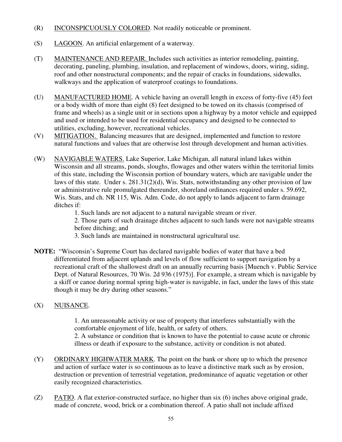- (R) INCONSPICUOUSLY COLORED. Not readily noticeable or prominent.
- (S) LAGOON. An artificial enlargement of a waterway.
- (T) MAINTENANCE AND REPAIR. Includes such activities as interior remodeling, painting, decorating, paneling, plumbing, insulation, and replacement of windows, doors, wiring, siding, roof and other nonstructural components; and the repair of cracks in foundations, sidewalks, walkways and the application of waterproof coatings to foundations.
- (U) MANUFACTURED HOME. A vehicle having an overall length in excess of forty-five (45) feet or a body width of more than eight (8) feet designed to be towed on its chassis (comprised of frame and wheels) as a single unit or in sections upon a highway by a motor vehicle and equipped and used or intended to be used for residential occupancy and designed to be connected to utilities, excluding, however, recreational vehicles.
- (V) MITIGATION. Balancing measures that are designed, implemented and function to restore natural functions and values that are otherwise lost through development and human activities.
- (W) NAVIGABLE WATERS. Lake Superior, Lake Michigan, all natural inland lakes within Wisconsin and all streams, ponds, sloughs, flowages and other waters within the territorial limits of this state, including the Wisconsin portion of boundary waters, which are navigable under the laws of this state. Under s. 281.31(2)(d), Wis. Stats, notwithstanding any other provision of law or administrative rule promulgated thereunder, shoreland ordinances required under s. 59.692, Wis. Stats, and ch. NR 115, Wis. Adm. Code, do not apply to lands adjacent to farm drainage ditches if:
	- 1. Such lands are not adjacent to a natural navigable stream or river.

 2. Those parts of such drainage ditches adjacent to such lands were not navigable streams before ditching; and

- 3. Such lands are maintained in nonstructural agricultural use.
- **NOTE:** "Wisconsin's Supreme Court has declared navigable bodies of water that have a bed differentiated from adjacent uplands and levels of flow sufficient to support navigation by a recreational craft of the shallowest draft on an annually recurring basis [Muench v. Public Service Dept. of Natural Resources, 70 Wis. 2d 936 (1975)]. For example, a stream which is navigable by a skiff or canoe during normal spring high-water is navigable, in fact, under the laws of this state though it may be dry during other seasons."

# (X) NUISANCE.

 1. An unreasonable activity or use of property that interferes substantially with the comfortable enjoyment of life, health, or safety of others.

 2. A substance or condition that is known to have the potential to cause acute or chronic illness or death if exposure to the substance, activity or condition is not abated.

- (Y) ORDINARY HIGHWATER MARK. The point on the bank or shore up to which the presence and action of surface water is so continuous as to leave a distinctive mark such as by erosion, destruction or prevention of terrestrial vegetation, predominance of aquatic vegetation or other easily recognized characteristics.
- (Z) PATIO. A flat exterior-constructed surface, no higher than six (6) inches above original grade, made of concrete, wood, brick or a combination thereof. A patio shall not include affixed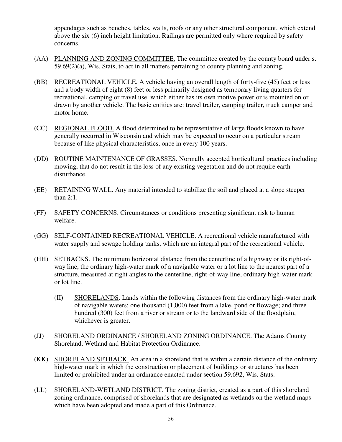appendages such as benches, tables, walls, roofs or any other structural component, which extend above the six (6) inch height limitation. Railings are permitted only where required by safety concerns.

- (AA) PLANNING AND ZONING COMMITTEE. The committee created by the county board under s. 59.69(2)(a), Wis. Stats, to act in all matters pertaining to county planning and zoning.
- (BB) RECREATIONAL VEHICLE. A vehicle having an overall length of forty-five (45) feet or less and a body width of eight (8) feet or less primarily designed as temporary living quarters for recreational, camping or travel use, which either has its own motive power or is mounted on or drawn by another vehicle. The basic entities are: travel trailer, camping trailer, truck camper and motor home.
- (CC) REGIONAL FLOOD. A flood determined to be representative of large floods known to have generally occurred in Wisconsin and which may be expected to occur on a particular stream because of like physical characteristics, once in every 100 years.
- (DD) ROUTINE MAINTENANCE OF GRASSES. Normally accepted horticultural practices including mowing, that do not result in the loss of any existing vegetation and do not require earth disturbance.
- (EE) RETAINING WALL. Any material intended to stabilize the soil and placed at a slope steeper than 2:1.
- (FF) SAFETY CONCERNS. Circumstances or conditions presenting significant risk to human welfare.
- (GG) SELF-CONTAINED RECREATIONAL VEHICLE. A recreational vehicle manufactured with water supply and sewage holding tanks, which are an integral part of the recreational vehicle.
- (HH) SETBACKS. The minimum horizontal distance from the centerline of a highway or its right-ofway line, the ordinary high-water mark of a navigable water or a lot line to the nearest part of a structure, measured at right angles to the centerline, right-of-way line, ordinary high-water mark or lot line.
	- (II) SHORELANDS. Lands within the following distances from the ordinary high-water mark of navigable waters: one thousand (1,000) feet from a lake, pond or flowage; and three hundred (300) feet from a river or stream or to the landward side of the floodplain, whichever is greater.
- (JJ) SHORELAND ORDINANCE / SHORELAND ZONING ORDINANCE. The Adams County Shoreland, Wetland and Habitat Protection Ordinance.
- (KK) SHORELAND SETBACK. An area in a shoreland that is within a certain distance of the ordinary high-water mark in which the construction or placement of buildings or structures has been limited or prohibited under an ordinance enacted under section 59.692, Wis. Stats.
- (LL) SHORELAND-WETLAND DISTRICT. The zoning district, created as a part of this shoreland zoning ordinance, comprised of shorelands that are designated as wetlands on the wetland maps which have been adopted and made a part of this Ordinance.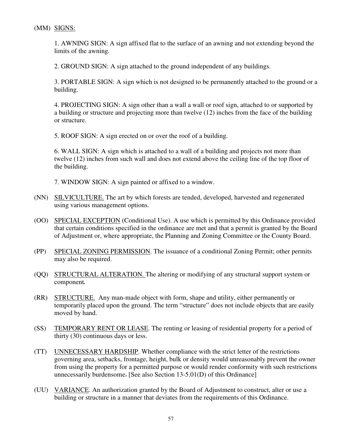(MM) SIGNS:

 1. AWNING SIGN: A sign affixed flat to the surface of an awning and not extending beyond the limits of the awning.

2. GROUND SIGN: A sign attached to the ground independent of any buildings.

 3. PORTABLE SIGN: A sign which is not designed to be permanently attached to the ground or a building.

 4. PROJECTING SIGN: A sign other than a wall a wall or roof sign, attached to or supported by a building or structure and projecting more than twelve (12) inches from the face of the building or structure.

5. ROOF SIGN: A sign erected on or over the roof of a building.

 6. WALL SIGN: A sign which is attached to a wall of a building and projects not more than twelve (12) inches from such wall and does not extend above the ceiling line of the top floor of the building.

7. WINDOW SIGN: A sign painted or affixed to a window.

- (NN) SILVICULTURE. The art by which forests are tended, developed, harvested and regenerated using various management options.
- (OO) SPECIAL EXCEPTION (Conditional Use). A use which is permitted by this Ordinance provided that certain conditions specified in the ordinance are met and that a permit is granted by the Board of Adjustment or, where appropriate, the Planning and Zoning Committee or the County Board.
- (PP) SPECIAL ZONING PERMISSION. The issuance of a conditional Zoning Permit; other permits may also be required.
- (QQ) STRUCTURAL ALTERATION. The altering or modifying of any structural support system or component*.*
- (RR) STRUCTURE. Any man-made object with form, shape and utility, either permanently or temporarily placed upon the ground. The term "structure" does not include objects that are easily moved by hand.
- (SS) TEMPORARY RENT OR LEASE. The renting or leasing of residential property for a period of thirty (30) continuous days or less.
- (TT) UNNECESSARY HARDSHIP. Whether compliance with the strict letter of the restrictions governing area, setbacks, frontage, height, bulk or density would unreasonably prevent the owner from using the property for a permitted purpose or would render conformity with such restrictions unnecessarily burdensome. [See also Section 13-5.01(D) of this Ordinance]
- (UU) VARIANCE. An authorization granted by the Board of Adjustment to construct, alter or use a building or structure in a manner that deviates from the requirements of this Ordinance.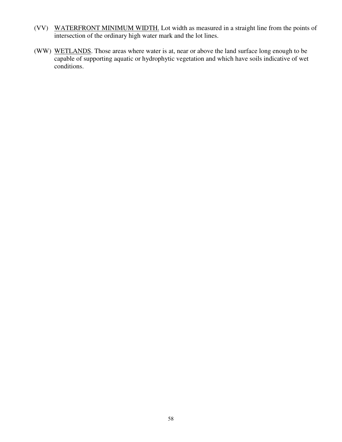- (VV) WATERFRONT MINIMUM WIDTH. Lot width as measured in a straight line from the points of intersection of the ordinary high water mark and the lot lines.
- (WW) WETLANDS. Those areas where water is at, near or above the land surface long enough to be capable of supporting aquatic or hydrophytic vegetation and which have soils indicative of wet conditions.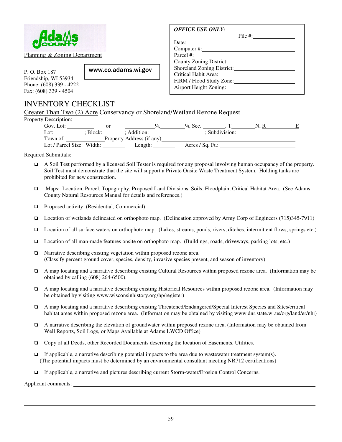

Planning & Zoning Department

P. O. Box 187 Friendship, WI 53934 Phone: (608) 339 - 4222 Fax: (608) 339 - 4504

# INVENTORY CHECKLIST

Greater Than Two (2) Acre Conservancy or Shoreland/Wetland Rezone Request

www.co.adams.wi.gov

| Property Description: |
|-----------------------|
|-----------------------|

| Description:              |          |                           |                      |                |  |
|---------------------------|----------|---------------------------|----------------------|----------------|--|
| Gov. Lot:                 |          | Οľ                        | $\frac{1}{4}$ . Sec. |                |  |
| Lot:                      | : Block: | : Addition:               |                      | : Subdivision: |  |
| Town of:                  |          | Property Address (if any) |                      |                |  |
| Lot / Parcel Size: Width: |          | Length:                   | Acres / $Sq. Ft.$ :  |                |  |

Required Submittals:

- A Soil Test performed by a licensed Soil Tester is required for any proposal involving human occupancy of the property. Soil Test must demonstrate that the site will support a Private Onsite Waste Treatment System. Holding tanks are prohibited for new construction.
- Maps: Location, Parcel, Topography, Proposed Land Divisions, Soils, Floodplain, Critical Habitat Area. (See Adams County Natural Resources Manual for details and references.)
- **Proposed activity (Residential, Commercial)**
- Location of wetlands delineated on orthophoto map. (Delineation approved by Army Corp of Engineers (715)345-7911)
- Location of all surface waters on orthophoto map. (Lakes, streams, ponds, rivers, ditches, intermittent flows, springs etc.)
- Location of all man-made features onsite on orthophoto map. (Buildings, roads, driveways, parking lots, etc.)
- □ Narrative describing existing vegetation within proposed rezone area. (Classify percent ground cover, species, density, invasive species present, and season of inventory)
- A map locating and a narrative describing existing Cultural Resources within proposed rezone area. (Information may be obtained by calling (608) 264-6500).
- A map locating and a narrative describing existing Historical Resources within proposed rezone area. (Information may be obtained by visiting www.wisconsinhistory.org/hp/register)
- A map locating and a narrative describing existing Threatened/Endangered/Special Interest Species and Sites/critical habitat areas within proposed rezone area. (Information may be obtained by visiting www.dnr.state.wi.us/org/land/er/nhi)
- A narrative describing the elevation of groundwater within proposed rezone area. (Information may be obtained from Well Reports, Soil Logs, or Maps Available at Adams LWCD Office)
- Copy of all Deeds, other Recorded Documents describing the location of Easements, Utilities.
- $\Box$  If applicable, a narrative describing potential impacts to the area due to wastewater treatment system(s). (The potential impacts must be determined by an environmental consultant meeting NR712 certifications)
- If applicable, a narrative and pictures describing current Storm-water/Erosion Control Concerns.

Applicant comments:

l l

l

| <b>OFFICE USE ONLY:</b>    |  |
|----------------------------|--|
|                            |  |
|                            |  |
| Computer #: New York 2014  |  |
| Parcel #: New York 2014    |  |
| County Zoning District:    |  |
| Shoreland Zoning District: |  |
|                            |  |
| FIRM / Flood Study Zone:   |  |
| Airport Height Zoning:     |  |